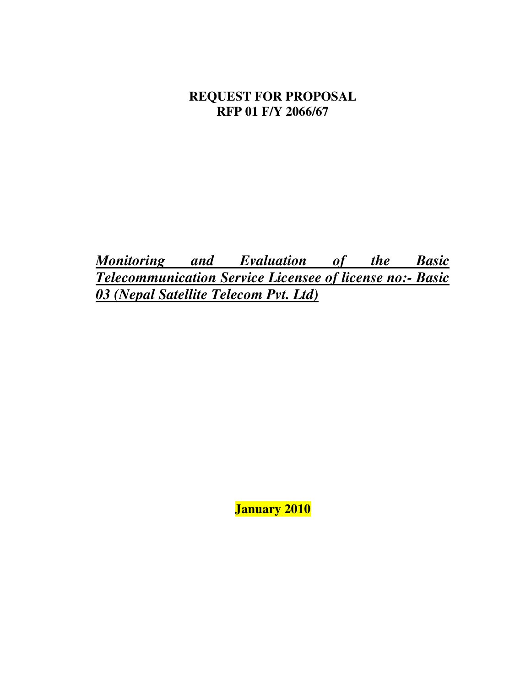## **REQUEST FOR PROPOSAL RFP 01 F/Y 2066/67**

*Monitoring and Evaluation of the Basic Telecommunication Service Licensee of license no:- Basic 03 (Nepal Satellite Telecom Pvt. Ltd)* 

**January 2010**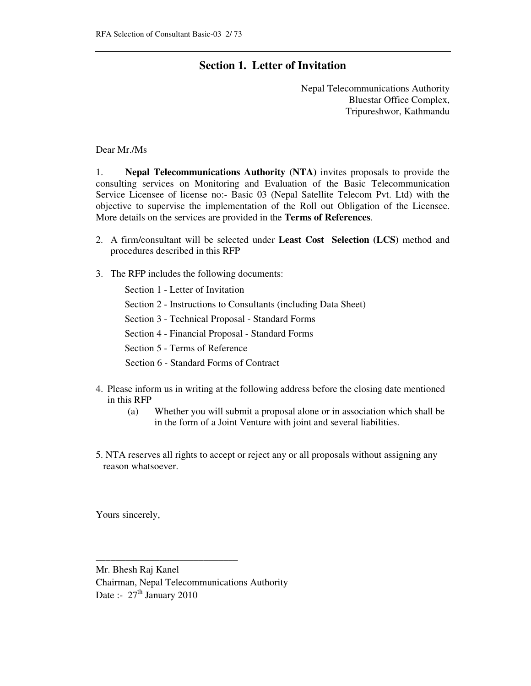#### **Section 1. Letter of Invitation**

Nepal Telecommunications Authority Bluestar Office Complex, Tripureshwor, Kathmandu

Dear Mr./Ms

1. **Nepal Telecommunications Authority (NTA)** invites proposals to provide the consulting services on Monitoring and Evaluation of the Basic Telecommunication Service Licensee of license no:- Basic 03 (Nepal Satellite Telecom Pvt. Ltd) with the objective to supervise the implementation of the Roll out Obligation of the Licensee. More details on the services are provided in the **Terms of References**.

- 2. A firm/consultant will be selected under **Least Cost Selection (LCS)** method and procedures described in this RFP
- 3. The RFP includes the following documents:

Section 1 - Letter of Invitation

Section 2 - Instructions to Consultants (including Data Sheet)

Section 3 - Technical Proposal - Standard Forms

Section 4 - Financial Proposal - Standard Forms

Section 5 - Terms of Reference

Section 6 - Standard Forms of Contract

- 4. Please inform us in writing at the following address before the closing date mentioned in this RFP
	- (a) Whether you will submit a proposal alone or in association which shall be in the form of a Joint Venture with joint and several liabilities.
- 5. NTA reserves all rights to accept or reject any or all proposals without assigning any reason whatsoever.

Yours sincerely,

Mr. Bhesh Raj Kanel Chairman, Nepal Telecommunications Authority Date :-  $27<sup>th</sup>$  January 2010

\_\_\_\_\_\_\_\_\_\_\_\_\_\_\_\_\_\_\_\_\_\_\_\_\_\_\_\_\_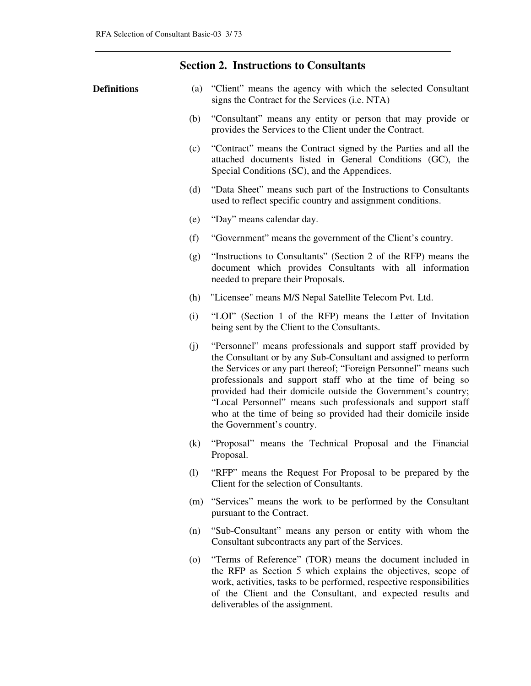#### **Section 2. Instructions to Consultants**

| <b>Definitions</b> | (a) | "Client" means the agency with which the selected Consultant<br>signs the Contract for the Services (i.e. NTA)                                                                                                                                                                                                                                                                                                                                                                                      |
|--------------------|-----|-----------------------------------------------------------------------------------------------------------------------------------------------------------------------------------------------------------------------------------------------------------------------------------------------------------------------------------------------------------------------------------------------------------------------------------------------------------------------------------------------------|
|                    | (b) | "Consultant" means any entity or person that may provide or<br>provides the Services to the Client under the Contract.                                                                                                                                                                                                                                                                                                                                                                              |
|                    | (c) | "Contract" means the Contract signed by the Parties and all the<br>attached documents listed in General Conditions (GC), the<br>Special Conditions (SC), and the Appendices.                                                                                                                                                                                                                                                                                                                        |
|                    | (d) | "Data Sheet" means such part of the Instructions to Consultants<br>used to reflect specific country and assignment conditions.                                                                                                                                                                                                                                                                                                                                                                      |
|                    | (e) | "Day" means calendar day.                                                                                                                                                                                                                                                                                                                                                                                                                                                                           |
|                    | (f) | "Government" means the government of the Client's country.                                                                                                                                                                                                                                                                                                                                                                                                                                          |
|                    | (g) | "Instructions to Consultants" (Section 2 of the RFP) means the<br>document which provides Consultants with all information<br>needed to prepare their Proposals.                                                                                                                                                                                                                                                                                                                                    |
|                    | (h) | "Licensee" means M/S Nepal Satellite Telecom Pvt. Ltd.                                                                                                                                                                                                                                                                                                                                                                                                                                              |
|                    | (i) | "LOI" (Section 1 of the RFP) means the Letter of Invitation<br>being sent by the Client to the Consultants.                                                                                                                                                                                                                                                                                                                                                                                         |
|                    | (j) | "Personnel" means professionals and support staff provided by<br>the Consultant or by any Sub-Consultant and assigned to perform<br>the Services or any part thereof; "Foreign Personnel" means such<br>professionals and support staff who at the time of being so<br>provided had their domicile outside the Government's country;<br>"Local Personnel" means such professionals and support staff<br>who at the time of being so provided had their domicile inside<br>the Government's country. |
|                    | (k) | "Proposal" means the Technical Proposal and the Financial<br>Proposal.                                                                                                                                                                                                                                                                                                                                                                                                                              |
|                    | (1) | "RFP" means the Request For Proposal to be prepared by the<br>Client for the selection of Consultants.                                                                                                                                                                                                                                                                                                                                                                                              |
|                    | (m) | "Services" means the work to be performed by the Consultant<br>pursuant to the Contract.                                                                                                                                                                                                                                                                                                                                                                                                            |
|                    | (n) | "Sub-Consultant" means any person or entity with whom the<br>Consultant subcontracts any part of the Services.                                                                                                                                                                                                                                                                                                                                                                                      |
|                    |     | (o) "Terms of Reference" (TOR) means the document included in                                                                                                                                                                                                                                                                                                                                                                                                                                       |

(o) "Terms of Reference" (TOR) means the document included in the RFP as Section 5 which explains the objectives, scope of work, activities, tasks to be performed, respective responsibilities of the Client and the Consultant, and expected results and deliverables of the assignment.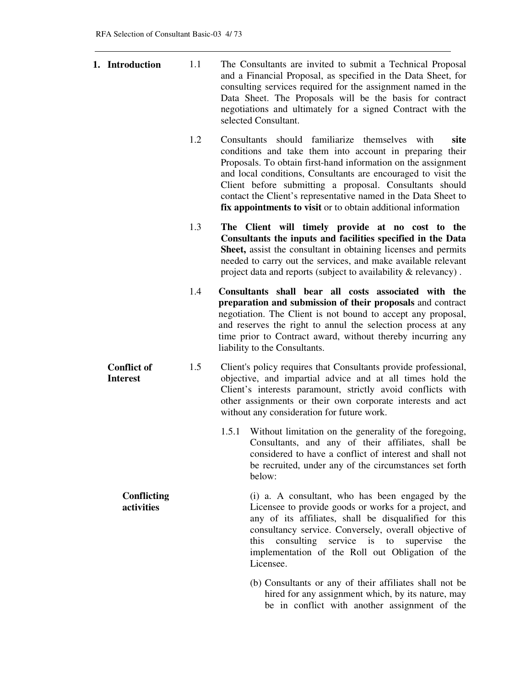| 1. Introduction                       | 1.1 | The Consultants are invited to submit a Technical Proposal<br>and a Financial Proposal, as specified in the Data Sheet, for<br>consulting services required for the assignment named in the<br>Data Sheet. The Proposals will be the basis for contract<br>negotiations and ultimately for a signed Contract with the<br>selected Consultant.                                                                                                      |
|---------------------------------------|-----|----------------------------------------------------------------------------------------------------------------------------------------------------------------------------------------------------------------------------------------------------------------------------------------------------------------------------------------------------------------------------------------------------------------------------------------------------|
|                                       | 1.2 | Consultants should familiarize themselves with<br>site<br>conditions and take them into account in preparing their<br>Proposals. To obtain first-hand information on the assignment<br>and local conditions, Consultants are encouraged to visit the<br>Client before submitting a proposal. Consultants should<br>contact the Client's representative named in the Data Sheet to<br>fix appointments to visit or to obtain additional information |
|                                       | 1.3 | The Client will timely provide at no cost to the<br>Consultants the inputs and facilities specified in the Data<br>Sheet, assist the consultant in obtaining licenses and permits<br>needed to carry out the services, and make available relevant<br>project data and reports (subject to availability & relevancy).                                                                                                                              |
|                                       | 1.4 | Consultants shall bear all costs associated with the<br>preparation and submission of their proposals and contract<br>negotiation. The Client is not bound to accept any proposal,<br>and reserves the right to annul the selection process at any<br>time prior to Contract award, without thereby incurring any<br>liability to the Consultants.                                                                                                 |
| <b>Conflict of</b><br><b>Interest</b> | 1.5 | Client's policy requires that Consultants provide professional,<br>objective, and impartial advice and at all times hold the<br>Client's interests paramount, strictly avoid conflicts with<br>other assignments or their own corporate interests and act<br>without any consideration for future work.                                                                                                                                            |
|                                       |     | Without limitation on the generality of the foregoing,<br>1.5.1<br>Consultants, and any of their affiliates, shall be<br>considered to have a conflict of interest and shall not<br>be recruited, under any of the circumstances set forth<br>below:                                                                                                                                                                                               |
| Conflicting<br>activities             |     | (i) a. A consultant, who has been engaged by the<br>Licensee to provide goods or works for a project, and<br>any of its affiliates, shall be disqualified for this<br>consultancy service. Conversely, overall objective of<br>consulting service is to<br>supervise<br>this<br>the<br>implementation of the Roll out Obligation of the<br>Licensee.                                                                                               |
|                                       |     | (b) Consultants or any of their affiliates shall not be<br>hired for any assignment which, by its nature, may                                                                                                                                                                                                                                                                                                                                      |

be in conflict with another assignment of the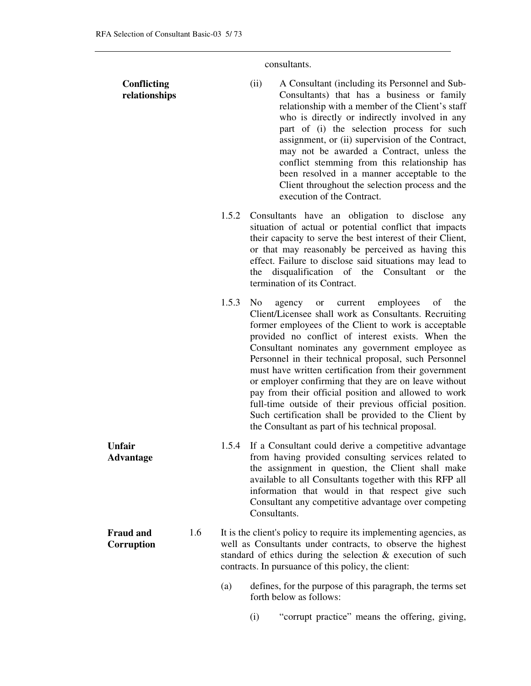consultants.

**Conflicting relationships**  (ii) A Consultant (including its Personnel and Sub-Consultants) that has a business or family relationship with a member of the Client's staff who is directly or indirectly involved in any part of (i) the selection process for such assignment, or (ii) supervision of the Contract, may not be awarded a Contract, unless the conflict stemming from this relationship has been resolved in a manner acceptable to the Client throughout the selection process and the execution of the Contract. 1.5.2 Consultants have an obligation to disclose any situation of actual or potential conflict that impacts their capacity to serve the best interest of their Client, or that may reasonably be perceived as having this effect. Failure to disclose said situations may lead to the disqualification of the Consultant or the termination of its Contract. 1.5.3 No agency or current employees of the Client/Licensee shall work as Consultants. Recruiting former employees of the Client to work is acceptable provided no conflict of interest exists. When the Consultant nominates any government employee as Personnel in their technical proposal, such Personnel must have written certification from their government or employer confirming that they are on leave without pay from their official position and allowed to work full-time outside of their previous official position. Such certification shall be provided to the Client by the Consultant as part of his technical proposal. **Unfair Advantage**  1.5.4 If a Consultant could derive a competitive advantage from having provided consulting services related to the assignment in question, the Client shall make available to all Consultants together with this RFP all information that would in that respect give such Consultant any competitive advantage over competing Consultants. **Fraud and Corruption** 1.6 It is the client's policy to require its implementing agencies, as well as Consultants under contracts, to observe the highest standard of ethics during the selection & execution of such contracts. In pursuance of this policy, the client: (a) defines, for the purpose of this paragraph, the terms set forth below as follows:

(i) "corrupt practice" means the offering, giving,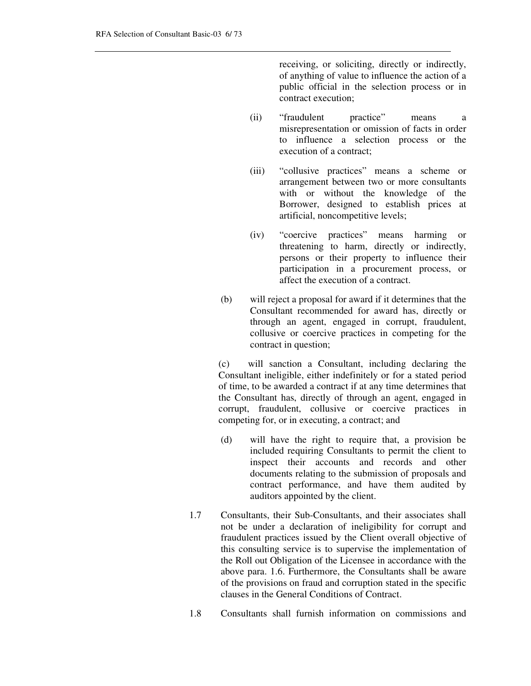receiving, or soliciting, directly or indirectly, of anything of value to influence the action of a public official in the selection process or in contract execution;

- (ii) "fraudulent practice" means a misrepresentation or omission of facts in order to influence a selection process or the execution of a contract;
- (iii) "collusive practices" means a scheme or arrangement between two or more consultants with or without the knowledge of the Borrower, designed to establish prices at artificial, noncompetitive levels;
- (iv) "coercive practices" means harming or threatening to harm, directly or indirectly, persons or their property to influence their participation in a procurement process, or affect the execution of a contract.
- (b) will reject a proposal for award if it determines that the Consultant recommended for award has, directly or through an agent, engaged in corrupt, fraudulent, collusive or coercive practices in competing for the contract in question;

(c) will sanction a Consultant, including declaring the Consultant ineligible, either indefinitely or for a stated period of time, to be awarded a contract if at any time determines that the Consultant has, directly of through an agent, engaged in corrupt, fraudulent, collusive or coercive practices in competing for, or in executing, a contract; and

- (d) will have the right to require that, a provision be included requiring Consultants to permit the client to inspect their accounts and records and other documents relating to the submission of proposals and contract performance, and have them audited by auditors appointed by the client.
- 1.7 Consultants, their Sub-Consultants, and their associates shall not be under a declaration of ineligibility for corrupt and fraudulent practices issued by the Client overall objective of this consulting service is to supervise the implementation of the Roll out Obligation of the Licensee in accordance with the above para. 1.6. Furthermore, the Consultants shall be aware of the provisions on fraud and corruption stated in the specific clauses in the General Conditions of Contract.
- 1.8 Consultants shall furnish information on commissions and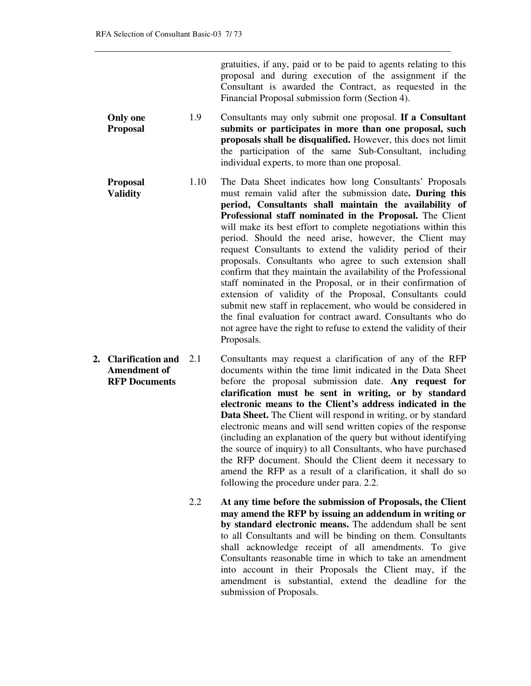gratuities, if any, paid or to be paid to agents relating to this proposal and during execution of the assignment if the Consultant is awarded the Contract, as requested in the Financial Proposal submission form (Section 4).

- **Only one Proposal**  1.9 Consultants may only submit one proposal. **If a Consultant submits or participates in more than one proposal, such proposals shall be disqualified.** However, this does not limit the participation of the same Sub-Consultant, including individual experts, to more than one proposal.
- **Proposal Validity**  1.10 The Data Sheet indicates how long Consultants' Proposals must remain valid after the submission date**. During this period, Consultants shall maintain the availability of Professional staff nominated in the Proposal.** The Client will make its best effort to complete negotiations within this period. Should the need arise, however, the Client may request Consultants to extend the validity period of their proposals. Consultants who agree to such extension shall confirm that they maintain the availability of the Professional staff nominated in the Proposal, or in their confirmation of extension of validity of the Proposal, Consultants could submit new staff in replacement, who would be considered in the final evaluation for contract award. Consultants who do not agree have the right to refuse to extend the validity of their Proposals.
- **2. Clarification and Amendment of RFP Documents** 2.1 Consultants may request a clarification of any of the RFP documents within the time limit indicated in the Data Sheet before the proposal submission date. **Any request for clarification must be sent in writing, or by standard electronic means to the Client's address indicated in the Data Sheet.** The Client will respond in writing, or by standard electronic means and will send written copies of the response (including an explanation of the query but without identifying the source of inquiry) to all Consultants, who have purchased the RFP document. Should the Client deem it necessary to amend the RFP as a result of a clarification, it shall do so following the procedure under para. 2.2.
	- 2.2 **At any time before the submission of Proposals, the Client may amend the RFP by issuing an addendum in writing or by standard electronic means.** The addendum shall be sent to all Consultants and will be binding on them. Consultants shall acknowledge receipt of all amendments. To give Consultants reasonable time in which to take an amendment into account in their Proposals the Client may, if the amendment is substantial, extend the deadline for the submission of Proposals.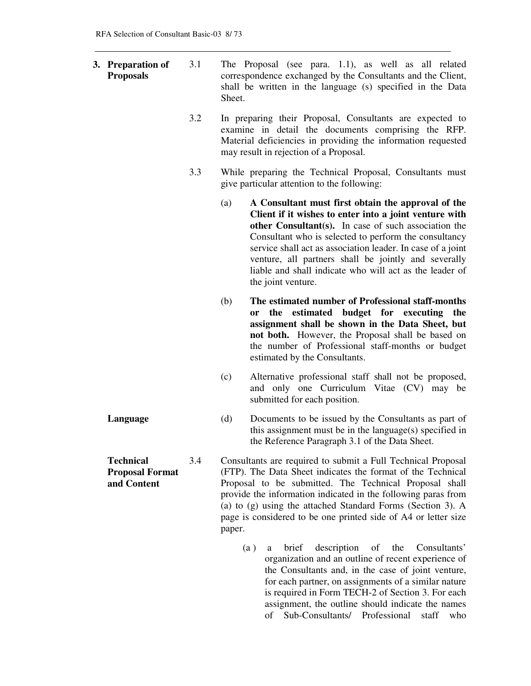| 3. Preparation of | 3.1 |        | The Proposal (see para. 1.1), as well as all related        |  |  |  |  |
|-------------------|-----|--------|-------------------------------------------------------------|--|--|--|--|
| <b>Proposals</b>  |     |        | correspondence exchanged by the Consultants and the Client, |  |  |  |  |
|                   |     | Sheet. | shall be written in the language (s) specified in the Data  |  |  |  |  |

- 3.2 In preparing their Proposal, Consultants are expected to examine in detail the documents comprising the RFP. Material deficiencies in providing the information requested may result in rejection of a Proposal.
- 3.3 While preparing the Technical Proposal, Consultants must give particular attention to the following:
	- (a) **A Consultant must first obtain the approval of the Client if it wishes to enter into a joint venture with other Consultant(s).** In case of such association the Consultant who is selected to perform the consultancy service shall act as association leader. In case of a joint venture, all partners shall be jointly and severally liable and shall indicate who will act as the leader of the joint venture.
	- (b) **The estimated number of Professional staff-months or the estimated budget for executing the assignment shall be shown in the Data Sheet, but not both.** However, the Proposal shall be based on the number of Professional staff-months or budget estimated by the Consultants.
	- (c) Alternative professional staff shall not be proposed, and only one Curriculum Vitae (CV) may be submitted for each position.
- **Language** (d) Documents to be issued by the Consultants as part of this assignment must be in the language(s) specified in the Reference Paragraph 3.1 of the Data Sheet.

3.4 Consultants are required to submit a Full Technical Proposal (FTP). The Data Sheet indicates the format of the Technical Proposal to be submitted. The Technical Proposal shall provide the information indicated in the following paras from (a) to (g) using the attached Standard Forms (Section 3). A page is considered to be one printed side of A4 or letter size paper.

> (a ) a brief description of the Consultants' organization and an outline of recent experience of the Consultants and, in the case of joint venture, for each partner, on assignments of a similar nature is required in Form TECH-2 of Section 3. For each assignment, the outline should indicate the names of Sub-Consultants/ Professional staff who

**Technical Proposal Format and Content**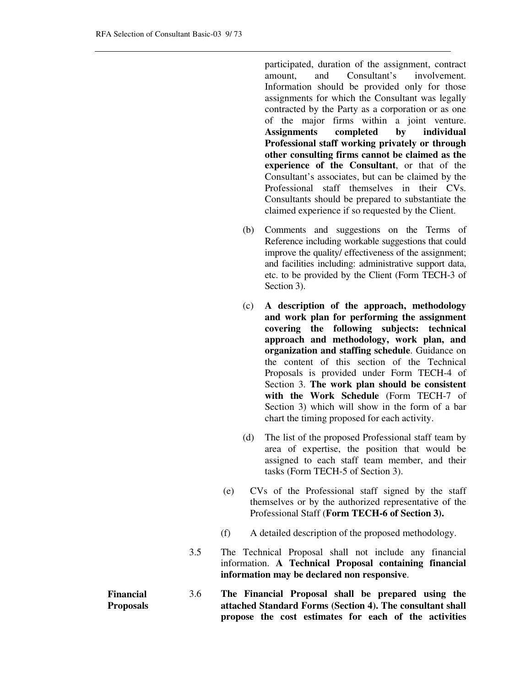participated, duration of the assignment, contract amount, and Consultant's involvement. Information should be provided only for those assignments for which the Consultant was legally contracted by the Party as a corporation or as one of the major firms within a joint venture. **Assignments completed by individual Professional staff working privately or through other consulting firms cannot be claimed as the experience of the Consultant**, or that of the Consultant's associates, but can be claimed by the Professional staff themselves in their CVs. Consultants should be prepared to substantiate the claimed experience if so requested by the Client.

- (b) Comments and suggestions on the Terms of Reference including workable suggestions that could improve the quality/ effectiveness of the assignment; and facilities including: administrative support data, etc. to be provided by the Client (Form TECH-3 of Section 3).
- (c) **A description of the approach, methodology and work plan for performing the assignment covering the following subjects: technical approach and methodology, work plan, and organization and staffing schedule**. Guidance on the content of this section of the Technical Proposals is provided under Form TECH-4 of Section 3. **The work plan should be consistent with the Work Schedule** (Form TECH-7 of Section 3) which will show in the form of a bar chart the timing proposed for each activity.
- (d) The list of the proposed Professional staff team by area of expertise, the position that would be assigned to each staff team member, and their tasks (Form TECH-5 of Section 3).
- (e) CVs of the Professional staff signed by the staff themselves or by the authorized representative of the Professional Staff (**Form TECH-6 of Section 3).**
- (f) A detailed description of the proposed methodology.
- 3.5 The Technical Proposal shall not include any financial information. **A Technical Proposal containing financial information may be declared non responsive**.

**Financial Proposals**  3.6 **The Financial Proposal shall be prepared using the attached Standard Forms (Section 4). The consultant shall propose the cost estimates for each of the activities**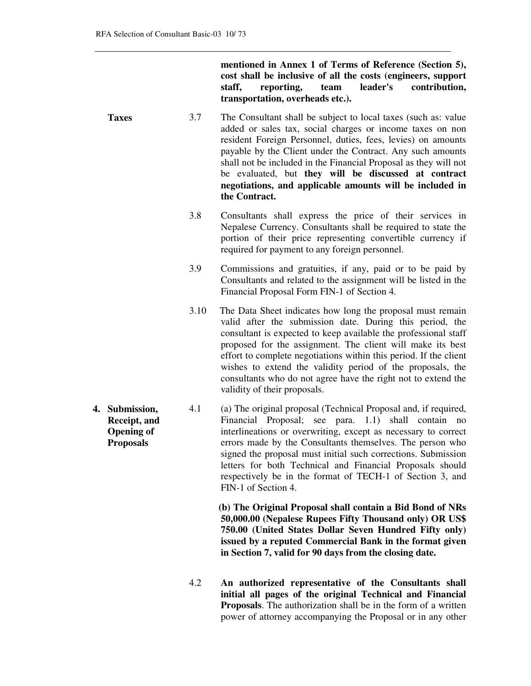**mentioned in Annex 1 of Terms of Reference (Section 5), cost shall be inclusive of all the costs (engineers, support staff, reporting, team leader's contribution, transportation, overheads etc.).**

**Taxes** 3.7 The Consultant shall be subject to local taxes (such as: value added or sales tax, social charges or income taxes on non resident Foreign Personnel, duties, fees, levies) on amounts payable by the Client under the Contract. Any such amounts shall not be included in the Financial Proposal as they will not be evaluated, but **they will be discussed at contract negotiations, and applicable amounts will be included in the Contract.**

- 3.8 Consultants shall express the price of their services in Nepalese Currency. Consultants shall be required to state the portion of their price representing convertible currency if required for payment to any foreign personnel.
- 3.9 Commissions and gratuities, if any, paid or to be paid by Consultants and related to the assignment will be listed in the Financial Proposal Form FIN-1 of Section 4.
- 3.10 The Data Sheet indicates how long the proposal must remain valid after the submission date. During this period, the consultant is expected to keep available the professional staff proposed for the assignment. The client will make its best effort to complete negotiations within this period. If the client wishes to extend the validity period of the proposals, the consultants who do not agree have the right not to extend the validity of their proposals.
- **4. Submission, Receipt, and Opening of Proposals**  4.1 (a) The original proposal (Technical Proposal and, if required, Financial Proposal; see para. 1.1) shall contain no interlineations or overwriting, except as necessary to correct errors made by the Consultants themselves. The person who signed the proposal must initial such corrections. Submission letters for both Technical and Financial Proposals should respectively be in the format of TECH-1 of Section 3, and FIN-1 of Section 4.

 **(b) The Original Proposal shall contain a Bid Bond of NRs 50,000.00 (Nepalese Rupees Fifty Thousand only) OR US\$ 750.00 (United States Dollar Seven Hundred Fifty only) issued by a reputed Commercial Bank in the format given in Section 7, valid for 90 days from the closing date.** 

4.2 **An authorized representative of the Consultants shall initial all pages of the original Technical and Financial Proposals**. The authorization shall be in the form of a written power of attorney accompanying the Proposal or in any other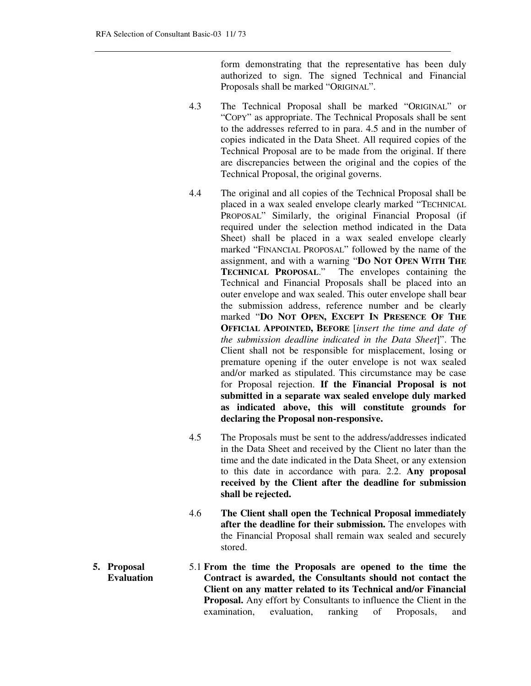form demonstrating that the representative has been duly authorized to sign. The signed Technical and Financial Proposals shall be marked "ORIGINAL".

- 4.3 The Technical Proposal shall be marked "ORIGINAL" or "COPY" as appropriate. The Technical Proposals shall be sent to the addresses referred to in para. 4.5 and in the number of copies indicated in the Data Sheet. All required copies of the Technical Proposal are to be made from the original. If there are discrepancies between the original and the copies of the Technical Proposal, the original governs.
- 4.4 The original and all copies of the Technical Proposal shall be placed in a wax sealed envelope clearly marked "TECHNICAL PROPOSAL" Similarly, the original Financial Proposal (if required under the selection method indicated in the Data Sheet) shall be placed in a wax sealed envelope clearly marked "FINANCIAL PROPOSAL" followed by the name of the assignment, and with a warning "**DO NOT OPEN WITH THE TECHNICAL PROPOSAL**." The envelopes containing the Technical and Financial Proposals shall be placed into an outer envelope and wax sealed. This outer envelope shall bear the submission address, reference number and be clearly marked "**DO NOT OPEN, EXCEPT IN PRESENCE OF THE OFFICIAL APPOINTED, BEFORE** [*insert the time and date of the submission deadline indicated in the Data Sheet*]". The Client shall not be responsible for misplacement, losing or premature opening if the outer envelope is not wax sealed and/or marked as stipulated. This circumstance may be case for Proposal rejection. **If the Financial Proposal is not submitted in a separate wax sealed envelope duly marked as indicated above, this will constitute grounds for declaring the Proposal non-responsive.**
- 4.5 The Proposals must be sent to the address/addresses indicated in the Data Sheet and received by the Client no later than the time and the date indicated in the Data Sheet, or any extension to this date in accordance with para. 2.2. **Any proposal received by the Client after the deadline for submission shall be rejected.**
- 4.6 **The Client shall open the Technical Proposal immediately after the deadline for their submission.** The envelopes with the Financial Proposal shall remain wax sealed and securely stored.
- **5. Proposal Evaluation**  5.1 **From the time the Proposals are opened to the time the Contract is awarded, the Consultants should not contact the Client on any matter related to its Technical and/or Financial Proposal.** Any effort by Consultants to influence the Client in the examination, evaluation, ranking of Proposals, and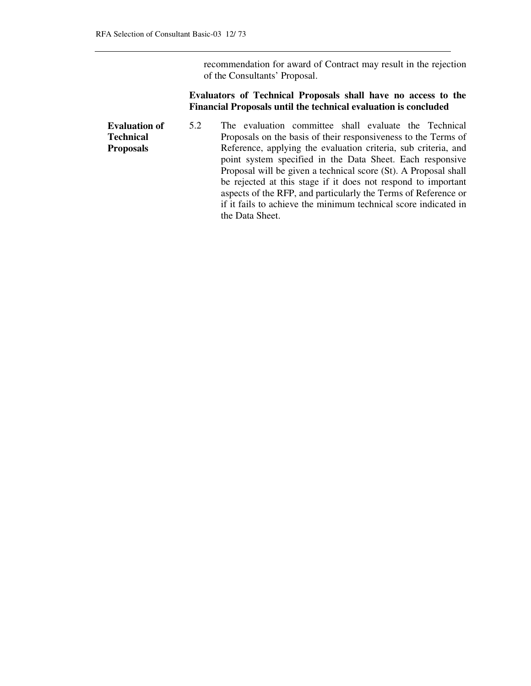recommendation for award of Contract may result in the rejection of the Consultants' Proposal.

#### **Evaluators of Technical Proposals shall have no access to the Financial Proposals until the technical evaluation is concluded**

**Evaluation of Technical Proposals**  5.2 The evaluation committee shall evaluate the Technical Proposals on the basis of their responsiveness to the Terms of Reference, applying the evaluation criteria, sub criteria, and point system specified in the Data Sheet. Each responsive Proposal will be given a technical score (St). A Proposal shall be rejected at this stage if it does not respond to important aspects of the RFP, and particularly the Terms of Reference or if it fails to achieve the minimum technical score indicated in the Data Sheet.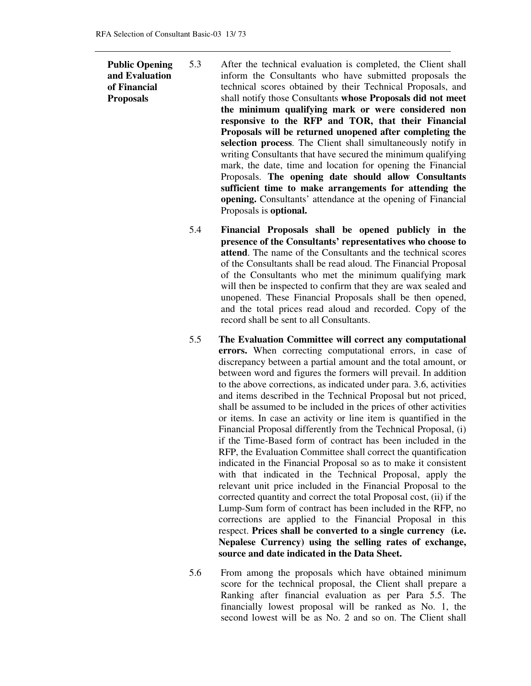**Public Opening and Evaluation of Financial Proposals** 

- 5.3 After the technical evaluation is completed, the Client shall inform the Consultants who have submitted proposals the technical scores obtained by their Technical Proposals, and shall notify those Consultants **whose Proposals did not meet the minimum qualifying mark or were considered non responsive to the RFP and TOR, that their Financial Proposals will be returned unopened after completing the selection process**. The Client shall simultaneously notify in writing Consultants that have secured the minimum qualifying mark, the date, time and location for opening the Financial Proposals. **The opening date should allow Consultants sufficient time to make arrangements for attending the opening.** Consultants' attendance at the opening of Financial Proposals is **optional.**
	- 5.4 **Financial Proposals shall be opened publicly in the presence of the Consultants' representatives who choose to attend**. The name of the Consultants and the technical scores of the Consultants shall be read aloud. The Financial Proposal of the Consultants who met the minimum qualifying mark will then be inspected to confirm that they are wax sealed and unopened. These Financial Proposals shall be then opened, and the total prices read aloud and recorded. Copy of the record shall be sent to all Consultants.
	- 5.5 **The Evaluation Committee will correct any computational errors.** When correcting computational errors, in case of discrepancy between a partial amount and the total amount, or between word and figures the formers will prevail. In addition to the above corrections, as indicated under para. 3.6, activities and items described in the Technical Proposal but not priced, shall be assumed to be included in the prices of other activities or items. In case an activity or line item is quantified in the Financial Proposal differently from the Technical Proposal, (i) if the Time-Based form of contract has been included in the RFP, the Evaluation Committee shall correct the quantification indicated in the Financial Proposal so as to make it consistent with that indicated in the Technical Proposal, apply the relevant unit price included in the Financial Proposal to the corrected quantity and correct the total Proposal cost, (ii) if the Lump-Sum form of contract has been included in the RFP, no corrections are applied to the Financial Proposal in this respect. **Prices shall be converted to a single currency (i.e. Nepalese Currency) using the selling rates of exchange, source and date indicated in the Data Sheet.**
	- 5.6 From among the proposals which have obtained minimum score for the technical proposal, the Client shall prepare a Ranking after financial evaluation as per Para 5.5. The financially lowest proposal will be ranked as No. 1, the second lowest will be as No. 2 and so on. The Client shall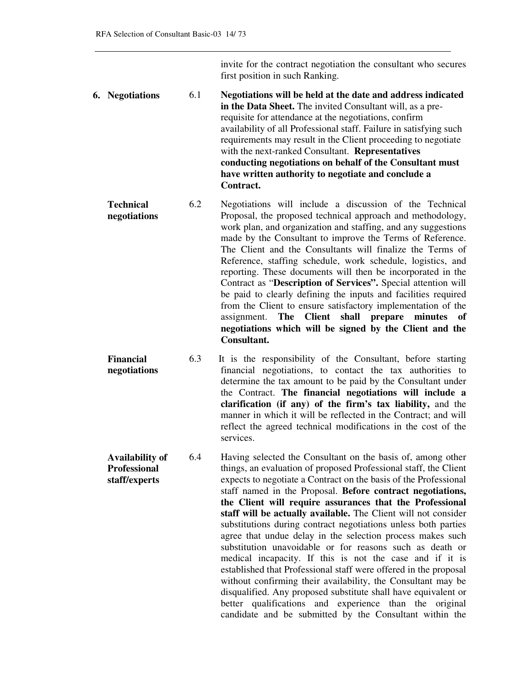invite for the contract negotiation the consultant who secures first position in such Ranking.

- **6. Negotiations** 6.1 **Negotiations will be held at the date and address indicated in the Data Sheet.** The invited Consultant will, as a prerequisite for attendance at the negotiations, confirm availability of all Professional staff. Failure in satisfying such requirements may result in the Client proceeding to negotiate with the next-ranked Consultant. **Representatives conducting negotiations on behalf of the Consultant must have written authority to negotiate and conclude a Contract.**
	- **Technical negotiations**  6.2 Negotiations will include a discussion of the Technical Proposal, the proposed technical approach and methodology, work plan, and organization and staffing, and any suggestions made by the Consultant to improve the Terms of Reference. The Client and the Consultants will finalize the Terms of Reference, staffing schedule, work schedule, logistics, and reporting. These documents will then be incorporated in the Contract as "**Description of Services".** Special attention will be paid to clearly defining the inputs and facilities required from the Client to ensure satisfactory implementation of the assignment. **The Client shall prepare minutes of negotiations which will be signed by the Client and the Consultant.**
	- **Financial negotiations**  6.3 It is the responsibility of the Consultant, before starting financial negotiations, to contact the tax authorities to determine the tax amount to be paid by the Consultant under the Contract. **The financial negotiations will include a clarification (if any) of the firm's tax liability,** and the manner in which it will be reflected in the Contract; and will reflect the agreed technical modifications in the cost of the services.
	- **Availability of Professional staff/experts**  6.4 Having selected the Consultant on the basis of, among other things, an evaluation of proposed Professional staff, the Client expects to negotiate a Contract on the basis of the Professional staff named in the Proposal. **Before contract negotiations, the Client will require assurances that the Professional staff will be actually available.** The Client will not consider substitutions during contract negotiations unless both parties agree that undue delay in the selection process makes such substitution unavoidable or for reasons such as death or medical incapacity. If this is not the case and if it is established that Professional staff were offered in the proposal without confirming their availability, the Consultant may be disqualified. Any proposed substitute shall have equivalent or better qualifications and experience than the original candidate and be submitted by the Consultant within the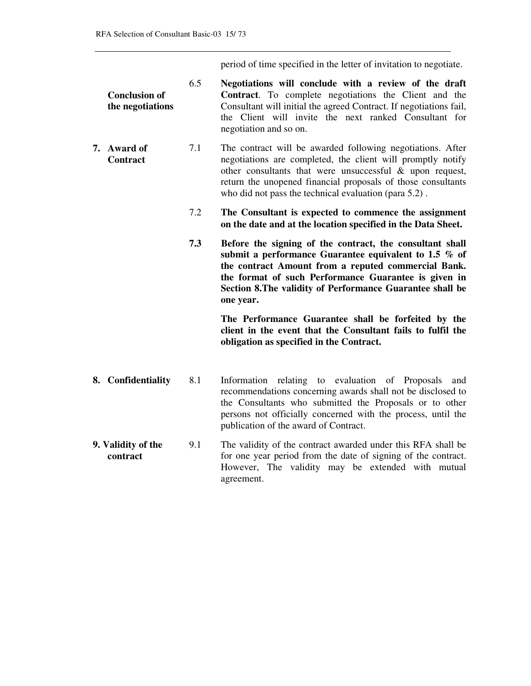period of time specified in the letter of invitation to negotiate.

- **Conclusion of the negotiations**  6.5 **Negotiations will conclude with a review of the draft Contract**. To complete negotiations the Client and the Consultant will initial the agreed Contract. If negotiations fail, the Client will invite the next ranked Consultant for negotiation and so on.
- **7. Award of Contract**  7.1 The contract will be awarded following negotiations. After negotiations are completed, the client will promptly notify other consultants that were unsuccessful & upon request, return the unopened financial proposals of those consultants who did not pass the technical evaluation (para 5.2) .
	- 7.2 **The Consultant is expected to commence the assignment on the date and at the location specified in the Data Sheet.**
	- **7.3 Before the signing of the contract, the consultant shall submit a performance Guarantee equivalent to 1.5 % of the contract Amount from a reputed commercial Bank. the format of such Performance Guarantee is given in Section 8.The validity of Performance Guarantee shall be one year.**

**The Performance Guarantee shall be forfeited by the client in the event that the Consultant fails to fulfil the obligation as specified in the Contract.** 

- **8. Confidentiality** 8.1 Information relating to evaluation of Proposals and recommendations concerning awards shall not be disclosed to the Consultants who submitted the Proposals or to other persons not officially concerned with the process, until the publication of the award of Contract.
- **9. Validity of the contract**  9.1 The validity of the contract awarded under this RFA shall be for one year period from the date of signing of the contract. However, The validity may be extended with mutual agreement.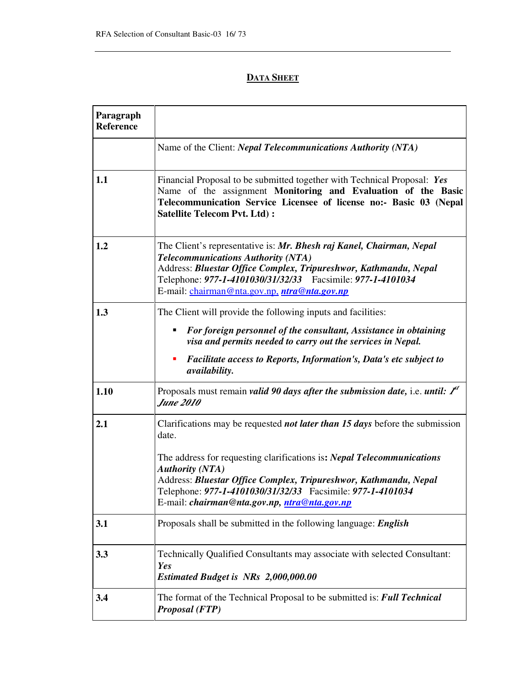#### **DATA SHEET**

| Paragraph<br><b>Reference</b> |                                                                                                                                                                                                                                                                                                                                    |
|-------------------------------|------------------------------------------------------------------------------------------------------------------------------------------------------------------------------------------------------------------------------------------------------------------------------------------------------------------------------------|
|                               | Name of the Client: <i>Nepal Telecommunications Authority (NTA)</i>                                                                                                                                                                                                                                                                |
| 1.1                           | Financial Proposal to be submitted together with Technical Proposal: Yes<br>Name of the assignment Monitoring and Evaluation of the Basic<br>Telecommunication Service Licensee of license no:- Basic 03 (Nepal<br><b>Satellite Telecom Pvt. Ltd):</b>                                                                             |
| 1.2                           | The Client's representative is: Mr. Bhesh raj Kanel, Chairman, Nepal<br><b>Telecommunications Authority (NTA)</b><br>Address: Bluestar Office Complex, Tripureshwor, Kathmandu, Nepal<br>Telephone: 977-1-4101030/31/32/33 Facsimile: 977-1-4101034<br>E-mail: chairman@nta.gov.np, ntra@nta.gov.np                                |
| 1.3                           | The Client will provide the following inputs and facilities:<br>For foreign personnel of the consultant, Assistance in obtaining<br>visa and permits needed to carry out the services in Nepal.<br>Facilitate access to Reports, Information's, Data's etc subject to<br>п                                                         |
|                               | <i>availability.</i>                                                                                                                                                                                                                                                                                                               |
| 1.10                          | Proposals must remain valid 90 days after the submission date, i.e. until: $f^{t}$<br><b>June 2010</b>                                                                                                                                                                                                                             |
| 2.1                           | Clarifications may be requested <i>not later than 15 days</i> before the submission<br>date.<br>The address for requesting clarifications is: Nepal Telecommunications<br><b>Authority (NTA)</b><br>Address: Bluestar Office Complex, Tripureshwor, Kathmandu, Nepal<br>Telephone: 977-1-4101030/31/32/33 Facsimile: 977-1-4101034 |
|                               | E-mail: chairman@nta.gov.np, ntra@nta.gov.np                                                                                                                                                                                                                                                                                       |
| 3.1                           | Proposals shall be submitted in the following language: English                                                                                                                                                                                                                                                                    |
| 3.3                           | Technically Qualified Consultants may associate with selected Consultant:<br>Yes<br>Estimated Budget is NRs 2,000,000.00                                                                                                                                                                                                           |
| 3.4                           | The format of the Technical Proposal to be submitted is: Full Technical<br><b>Proposal (FTP)</b>                                                                                                                                                                                                                                   |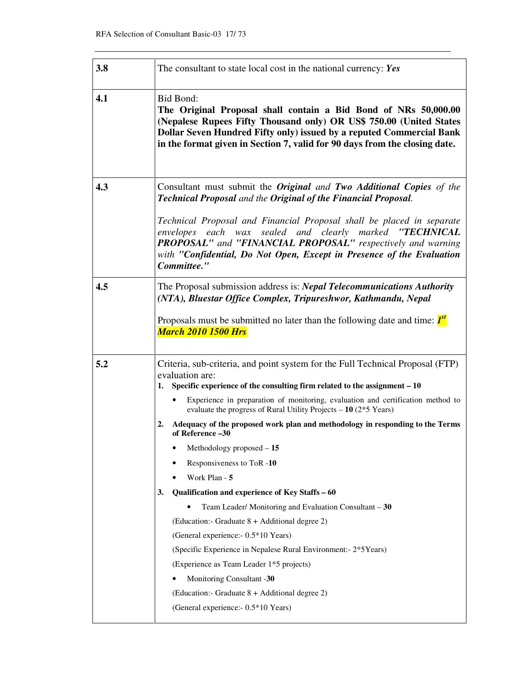| 3.8 | The consultant to state local cost in the national currency: Yes                                                                                                                                                                                                                                                                                                                                                                                                                                                                                                                                                                                                                                                                                                                                                                                                                                                                                                                                |
|-----|-------------------------------------------------------------------------------------------------------------------------------------------------------------------------------------------------------------------------------------------------------------------------------------------------------------------------------------------------------------------------------------------------------------------------------------------------------------------------------------------------------------------------------------------------------------------------------------------------------------------------------------------------------------------------------------------------------------------------------------------------------------------------------------------------------------------------------------------------------------------------------------------------------------------------------------------------------------------------------------------------|
| 4.1 | <b>Bid Bond:</b><br>The Original Proposal shall contain a Bid Bond of NRs 50,000.00<br>(Nepalese Rupees Fifty Thousand only) OR US\$ 750.00 (United States<br>Dollar Seven Hundred Fifty only) issued by a reputed Commercial Bank<br>in the format given in Section 7, valid for 90 days from the closing date.                                                                                                                                                                                                                                                                                                                                                                                                                                                                                                                                                                                                                                                                                |
| 4.3 | Consultant must submit the <i>Original and Two Additional Copies of the</i><br><b>Technical Proposal</b> and the Original of the Financial Proposal.<br>Technical Proposal and Financial Proposal shall be placed in separate<br>envelopes each wax sealed and clearly marked "TECHNICAL<br>PROPOSAL" and "FINANCIAL PROPOSAL" respectively and warning<br>with "Confidential, Do Not Open, Except in Presence of the Evaluation<br>Committee."                                                                                                                                                                                                                                                                                                                                                                                                                                                                                                                                                 |
| 4.5 | The Proposal submission address is: <i>Nepal Telecommunications Authority</i><br>(NTA), Bluestar Office Complex, Tripureshwor, Kathmandu, Nepal<br>Proposals must be submitted no later than the following date and time: $I^{\text{st}}$<br><b>March 2010 1500 Hrs</b>                                                                                                                                                                                                                                                                                                                                                                                                                                                                                                                                                                                                                                                                                                                         |
| 5.2 | Criteria, sub-criteria, and point system for the Full Technical Proposal (FTP)<br>evaluation are:<br>1. Specific experience of the consulting firm related to the assignment $-10$<br>Experience in preparation of monitoring, evaluation and certification method to<br>$\bullet$<br>evaluate the progress of Rural Utility Projects $-10$ (2*5 Years)<br>Adequacy of the proposed work plan and methodology in responding to the Terms<br>2.<br>of Reference-30<br>Methodology proposed - 15<br>Responsiveness to ToR -10<br>Work Plan - 5<br>Qualification and experience of Key Staffs - 60<br>3.<br>Team Leader/ Monitoring and Evaluation Consultant $-30$<br>(Education:- Graduate 8 + Additional degree 2)<br>(General experience: - 0.5*10 Years)<br>(Specific Experience in Nepalese Rural Environment:- 2*5Years)<br>(Experience as Team Leader 1*5 projects)<br>Monitoring Consultant -30<br>(Education:- Graduate 8 + Additional degree 2)<br>(General experience: - 0.5*10 Years) |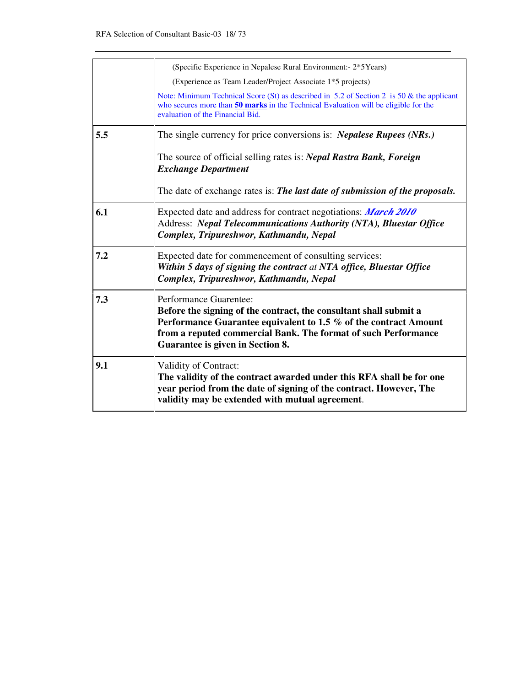|     | (Specific Experience in Nepalese Rural Environment:- 2*5Years)                                                                                                                                                                                                        |
|-----|-----------------------------------------------------------------------------------------------------------------------------------------------------------------------------------------------------------------------------------------------------------------------|
|     | (Experience as Team Leader/Project Associate 1*5 projects)                                                                                                                                                                                                            |
|     | Note: Minimum Technical Score (St) as described in 5.2 of Section 2 is 50 $\&$ the applicant<br>who secures more than 50 marks in the Technical Evaluation will be eligible for the<br>evaluation of the Financial Bid.                                               |
| 5.5 | The single currency for price conversions is: <i>Nepalese Rupees (NRs.)</i>                                                                                                                                                                                           |
|     | The source of official selling rates is: <i>Nepal Rastra Bank</i> , <i>Foreign</i><br><b>Exchange Department</b>                                                                                                                                                      |
|     | The date of exchange rates is: The last date of submission of the proposals.                                                                                                                                                                                          |
| 6.1 | Expected date and address for contract negotiations: <i>March 2010</i><br>Address: Nepal Telecommunications Authority (NTA), Bluestar Office<br>Complex, Tripureshwor, Kathmandu, Nepal                                                                               |
| 7.2 | Expected date for commencement of consulting services:<br>Within 5 days of signing the contract at NTA office, Bluestar Office<br>Complex, Tripureshwor, Kathmandu, Nepal                                                                                             |
| 7.3 | Performance Guarentee:<br>Before the signing of the contract, the consultant shall submit a<br>Performance Guarantee equivalent to 1.5 % of the contract Amount<br>from a reputed commercial Bank. The format of such Performance<br>Guarantee is given in Section 8. |
| 9.1 | Validity of Contract:<br>The validity of the contract awarded under this RFA shall be for one<br>year period from the date of signing of the contract. However, The<br>validity may be extended with mutual agreement.                                                |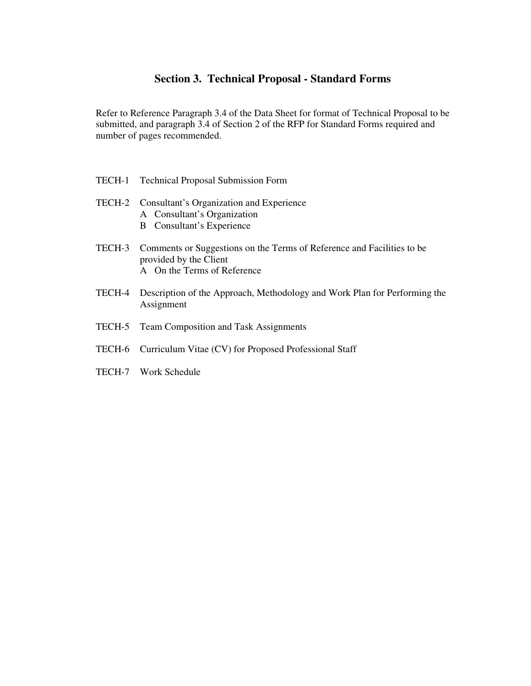#### **Section 3. Technical Proposal - Standard Forms**

Refer to Reference Paragraph 3.4 of the Data Sheet for format of Technical Proposal to be submitted, and paragraph 3.4 of Section 2 of the RFP for Standard Forms required and number of pages recommended.

- TECH-1 Technical Proposal Submission Form
- TECH-2 Consultant's Organization and Experience
	- A Consultant's Organization
	- B Consultant's Experience
- TECH-3 Comments or Suggestions on the Terms of Reference and Facilities to be provided by the Client
	- A On the Terms of Reference
- TECH-4 Description of the Approach, Methodology and Work Plan for Performing the Assignment
- TECH-5 Team Composition and Task Assignments
- TECH-6 Curriculum Vitae (CV) for Proposed Professional Staff
- TECH-7 Work Schedule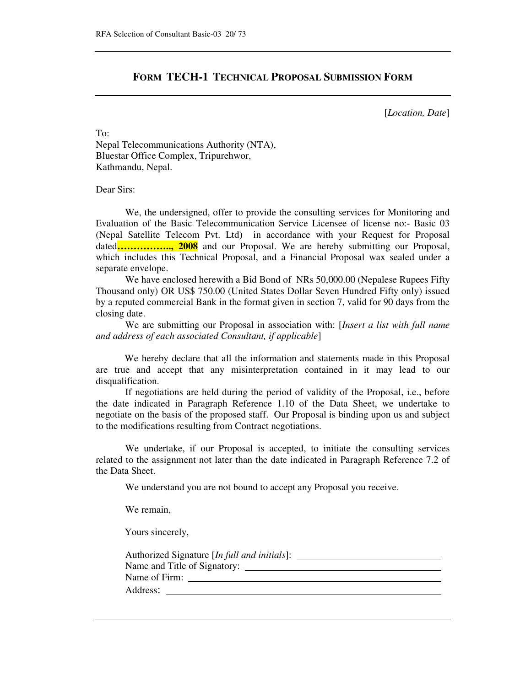#### **FORM TECH-1 TECHNICAL PROPOSAL SUBMISSION FORM**

[*Location, Date*]

To:

Nepal Telecommunications Authority (NTA), Bluestar Office Complex, Tripurehwor, Kathmandu, Nepal.

Dear Sirs:

 We, the undersigned, offer to provide the consulting services for Monitoring and Evaluation of the Basic Telecommunication Service Licensee of license no:- Basic 03 (Nepal Satellite Telecom Pvt. Ltd) in accordance with your Request for Proposal dated**…………….., 2008** and our Proposal. We are hereby submitting our Proposal, which includes this Technical Proposal, and a Financial Proposal wax sealed under a separate envelope.

 We have enclosed herewith a Bid Bond of NRs 50,000.00 (Nepalese Rupees Fifty Thousand only) OR US\$ 750.00 (United States Dollar Seven Hundred Fifty only) issued by a reputed commercial Bank in the format given in section 7, valid for 90 days from the closing date.

 We are submitting our Proposal in association with: [*Insert a list with full name and address of each associated Consultant, if applicable*]

We hereby declare that all the information and statements made in this Proposal are true and accept that any misinterpretation contained in it may lead to our disqualification.

 If negotiations are held during the period of validity of the Proposal, i.e., before the date indicated in Paragraph Reference 1.10 of the Data Sheet, we undertake to negotiate on the basis of the proposed staff. Our Proposal is binding upon us and subject to the modifications resulting from Contract negotiations.

 We undertake, if our Proposal is accepted, to initiate the consulting services related to the assignment not later than the date indicated in Paragraph Reference 7.2 of the Data Sheet.

We understand you are not bound to accept any Proposal you receive.

We remain,

Yours sincerely,

| Authorized Signature [In full and initials]: |  |
|----------------------------------------------|--|
|                                              |  |
| Name of Firm:                                |  |
| Address:                                     |  |
|                                              |  |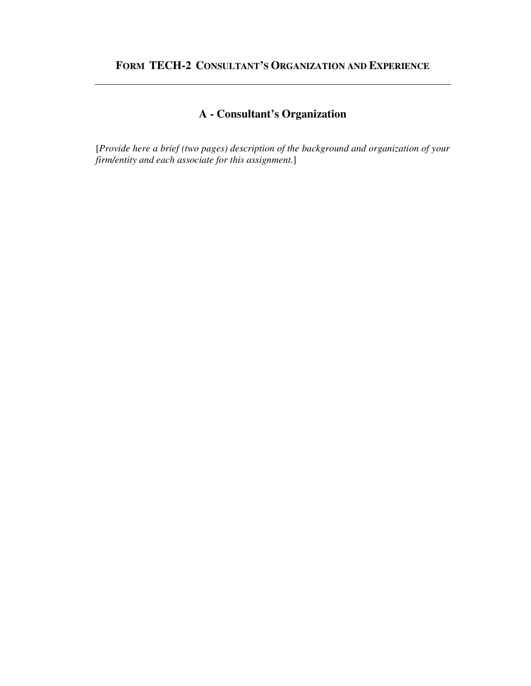## **FORM TECH-2 CONSULTANT'S ORGANIZATION AND EXPERIENCE**

## **A - Consultant's Organization**

[*Provide here a brief (two pages) description of the background and organization of your firm/entity and each associate for this assignment.*]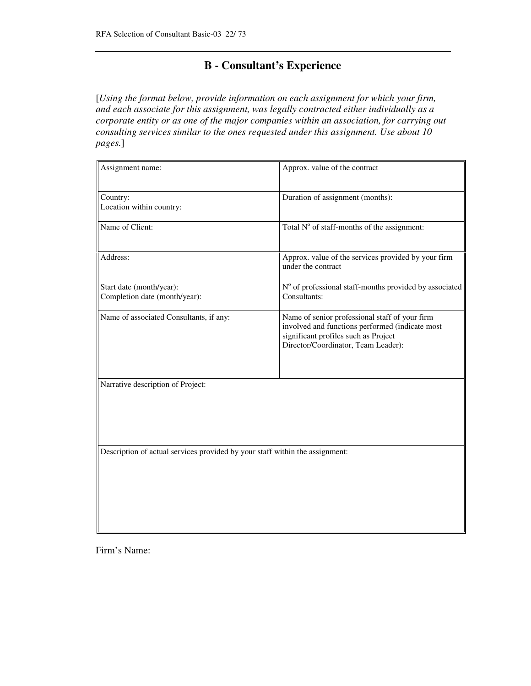## **B - Consultant's Experience**

[*Using the format below, provide information on each assignment for which your firm, and each associate for this assignment, was legally contracted either individually as a corporate entity or as one of the major companies within an association, for carrying out consulting services similar to the ones requested under this assignment. Use about 10 pages.*]

| Assignment name:                                                             | Approx. value of the contract                                                                                                                                                    |
|------------------------------------------------------------------------------|----------------------------------------------------------------------------------------------------------------------------------------------------------------------------------|
| Country:<br>Location within country:                                         | Duration of assignment (months):                                                                                                                                                 |
| Name of Client:                                                              | Total $N^{\circ}$ of staff-months of the assignment:                                                                                                                             |
| Address:                                                                     | Approx. value of the services provided by your firm<br>under the contract                                                                                                        |
| Start date (month/year):<br>Completion date (month/year):                    | $No$ of professional staff-months provided by associated<br>Consultants:                                                                                                         |
| Name of associated Consultants, if any:                                      | Name of senior professional staff of your firm<br>involved and functions performed (indicate most<br>significant profiles such as Project<br>Director/Coordinator, Team Leader): |
| Narrative description of Project:                                            |                                                                                                                                                                                  |
| Description of actual services provided by your staff within the assignment: |                                                                                                                                                                                  |

Firm's Name: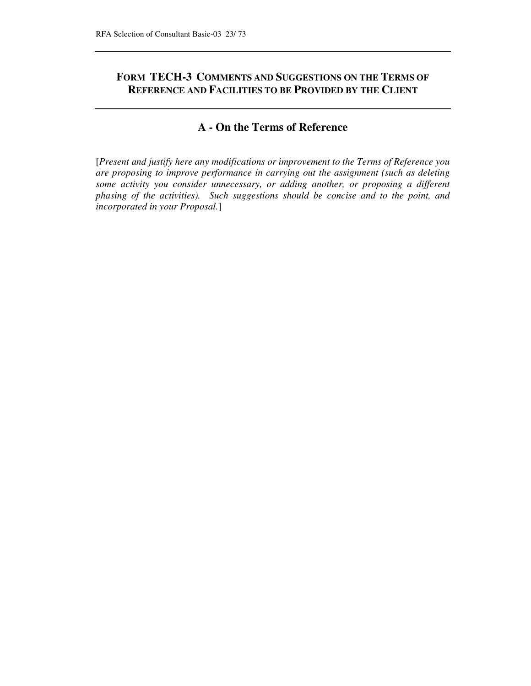#### **FORM TECH-3 COMMENTS AND SUGGESTIONS ON THE TERMS OF REFERENCE AND FACILITIES TO BE PROVIDED BY THE CLIENT**

#### **A - On the Terms of Reference**

[*Present and justify here any modifications or improvement to the Terms of Reference you are proposing to improve performance in carrying out the assignment (such as deleting some activity you consider unnecessary, or adding another, or proposing a different phasing of the activities). Such suggestions should be concise and to the point, and incorporated in your Proposal.*]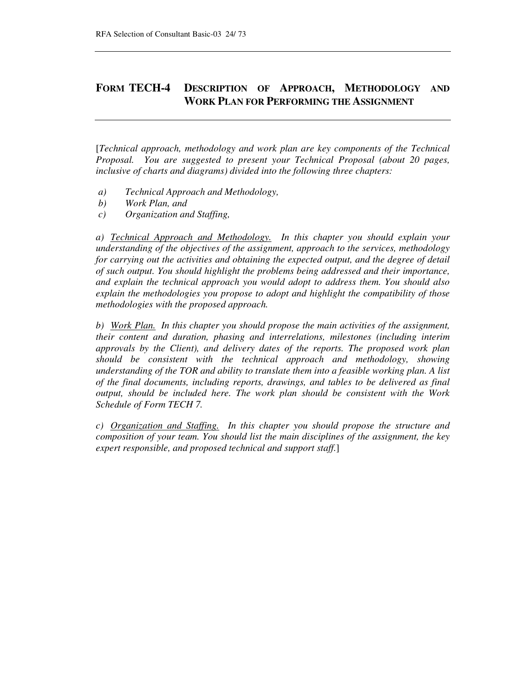#### **FORM TECH-4 DESCRIPTION OF APPROACH, METHODOLOGY AND WORK PLAN FOR PERFORMING THE ASSIGNMENT**

[*Technical approach, methodology and work plan are key components of the Technical Proposal. You are suggested to present your Technical Proposal (about 20 pages, inclusive of charts and diagrams) divided into the following three chapters:* 

- *a) Technical Approach and Methodology,*
- *b) Work Plan, and*
- *c) Organization and Staffing,*

*a) Technical Approach and Methodology. In this chapter you should explain your understanding of the objectives of the assignment, approach to the services, methodology for carrying out the activities and obtaining the expected output, and the degree of detail of such output. You should highlight the problems being addressed and their importance, and explain the technical approach you would adopt to address them. You should also explain the methodologies you propose to adopt and highlight the compatibility of those methodologies with the proposed approach.* 

*b) Work Plan. In this chapter you should propose the main activities of the assignment, their content and duration, phasing and interrelations, milestones (including interim approvals by the Client), and delivery dates of the reports. The proposed work plan should be consistent with the technical approach and methodology, showing understanding of the TOR and ability to translate them into a feasible working plan. A list of the final documents, including reports, drawings, and tables to be delivered as final output, should be included here. The work plan should be consistent with the Work Schedule of Form TECH 7.* 

*c) Organization and Staffing. In this chapter you should propose the structure and composition of your team. You should list the main disciplines of the assignment, the key expert responsible, and proposed technical and support staff.*]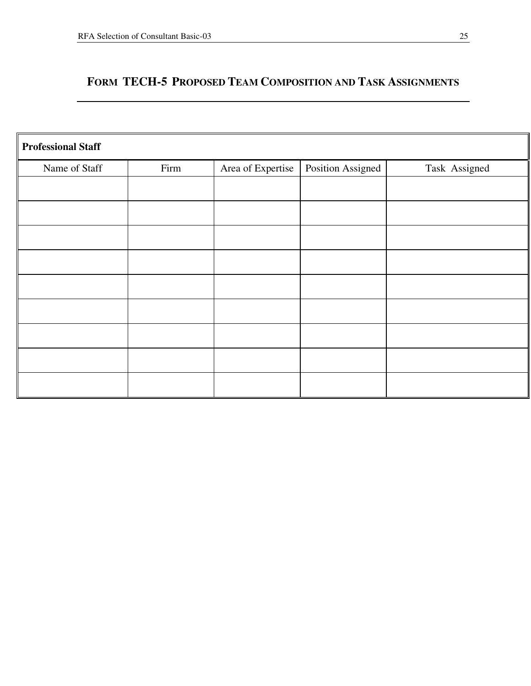# **FORM TECH-5 PROPOSED TEAM COMPOSITION AND TASK ASSIGNMENTS**

| <b>Professional Staff</b> |      |                   |                   |               |
|---------------------------|------|-------------------|-------------------|---------------|
| Name of Staff             | Firm | Area of Expertise | Position Assigned | Task Assigned |
|                           |      |                   |                   |               |
|                           |      |                   |                   |               |
|                           |      |                   |                   |               |
|                           |      |                   |                   |               |
|                           |      |                   |                   |               |
|                           |      |                   |                   |               |
|                           |      |                   |                   |               |
|                           |      |                   |                   |               |
|                           |      |                   |                   |               |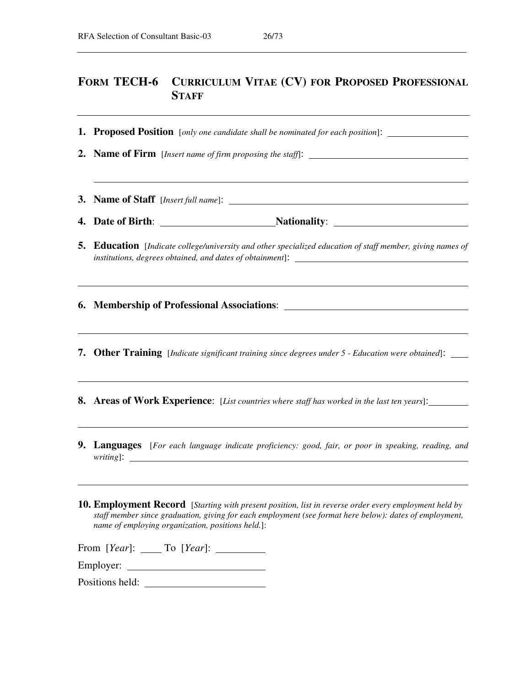#### **FORM TECH-6 CURRICULUM VITAE (CV) FOR PROPOSED PROFESSIONAL STAFF**

**1. Proposed Position** [*only one candidate shall be nominated for each position*]:

**2. Name of Firm** [*Insert name of firm proposing the staff*]:

**3. Name of Staff** [*Insert full name*]:

- **4. Date of Birth**: **Nationality**:
- **5. Education** [*Indicate college/university and other specialized education of staff member, giving names of institutions, degrees obtained, and dates of obtainment*]:
- **6. Membership of Professional Associations**:
- **7. Other Training** [*Indicate significant training since degrees under 5 Education were obtained*]:
- **8. Areas of Work Experience**: [*List countries where staff has worked in the last ten years*]:
- **9. Languages** [*For each language indicate proficiency: good, fair, or poor in speaking, reading, and writing*]:
- **10. Employment Record** [*Starting with present position, list in reverse order every employment held by staff member since graduation, giving for each employment (see format here below): dates of employment, name of employing organization, positions held.*]:

|  | From [Year]: |  | To $[Year]$ : |  |
|--|--------------|--|---------------|--|
|--|--------------|--|---------------|--|

| Employer: |
|-----------|
|           |

Positions held: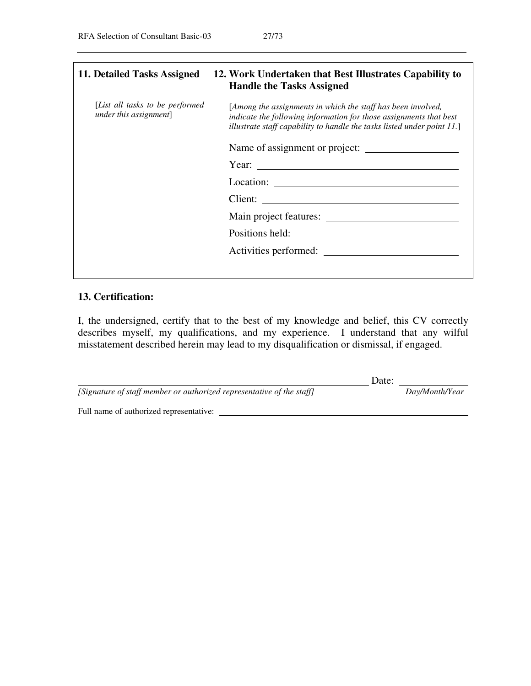| 11. Detailed Tasks Assigned                                | 12. Work Undertaken that Best Illustrates Capability to<br><b>Handle the Tasks Assigned</b>                                                                                                                   |
|------------------------------------------------------------|---------------------------------------------------------------------------------------------------------------------------------------------------------------------------------------------------------------|
| [List all tasks to be performed]<br>under this assignment] | [Among the assignments in which the staff has been involved,<br>indicate the following information for those assignments that best<br>illustrate staff capability to handle the tasks listed under point 11.] |
|                                                            | Name of assignment or project:                                                                                                                                                                                |
|                                                            | Year: $\qquad \qquad$                                                                                                                                                                                         |
|                                                            | Location: $\qquad \qquad$                                                                                                                                                                                     |
|                                                            | Client:                                                                                                                                                                                                       |
|                                                            | Main project features:                                                                                                                                                                                        |
|                                                            |                                                                                                                                                                                                               |
|                                                            | Activities performed:                                                                                                                                                                                         |
|                                                            |                                                                                                                                                                                                               |

#### **13. Certification:**

I, the undersigned, certify that to the best of my knowledge and belief, this CV correctly describes myself, my qualifications, and my experience. I understand that any wilful misstatement described herein may lead to my disqualification or dismissal, if engaged.

|                                                                       | Date: |                |
|-----------------------------------------------------------------------|-------|----------------|
| [Signature of staff member or authorized representative of the staff] |       | Day/Month/Year |
| Full name of authorized representative:                               |       |                |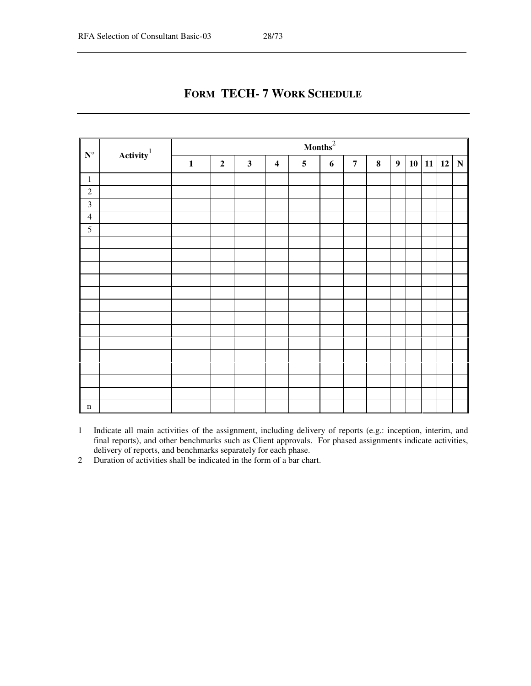| $\mathbf{N}^{\circ}$ | $\mathbf{Activity}^1$ | Months <sup>2</sup> |             |              |                         |                 |                  |                |        |                  |  |                                            |  |
|----------------------|-----------------------|---------------------|-------------|--------------|-------------------------|-----------------|------------------|----------------|--------|------------------|--|--------------------------------------------|--|
|                      |                       | $\mathbf{1}$        | $\mathbf 2$ | $\mathbf{3}$ | $\overline{\mathbf{4}}$ | $5\phantom{.0}$ | $\boldsymbol{6}$ | $\overline{7}$ | $\bf8$ | $\boldsymbol{9}$ |  | $\vert$ 10 $\vert$ 11 $\vert$ 12 $\vert$ N |  |
| $\,1\,$              |                       |                     |             |              |                         |                 |                  |                |        |                  |  |                                            |  |
| $\sqrt{2}$           |                       |                     |             |              |                         |                 |                  |                |        |                  |  |                                            |  |
| $\mathfrak{Z}$       |                       |                     |             |              |                         |                 |                  |                |        |                  |  |                                            |  |
| $\overline{4}$       |                       |                     |             |              |                         |                 |                  |                |        |                  |  |                                            |  |
| 5                    |                       |                     |             |              |                         |                 |                  |                |        |                  |  |                                            |  |
|                      |                       |                     |             |              |                         |                 |                  |                |        |                  |  |                                            |  |
|                      |                       |                     |             |              |                         |                 |                  |                |        |                  |  |                                            |  |
|                      |                       |                     |             |              |                         |                 |                  |                |        |                  |  |                                            |  |
|                      |                       |                     |             |              |                         |                 |                  |                |        |                  |  |                                            |  |
|                      |                       |                     |             |              |                         |                 |                  |                |        |                  |  |                                            |  |
|                      |                       |                     |             |              |                         |                 |                  |                |        |                  |  |                                            |  |
|                      |                       |                     |             |              |                         |                 |                  |                |        |                  |  |                                            |  |
|                      |                       |                     |             |              |                         |                 |                  |                |        |                  |  |                                            |  |
|                      |                       |                     |             |              |                         |                 |                  |                |        |                  |  |                                            |  |
|                      |                       |                     |             |              |                         |                 |                  |                |        |                  |  |                                            |  |
|                      |                       |                     |             |              |                         |                 |                  |                |        |                  |  |                                            |  |
|                      |                       |                     |             |              |                         |                 |                  |                |        |                  |  |                                            |  |
|                      |                       |                     |             |              |                         |                 |                  |                |        |                  |  |                                            |  |
| $\mathbf n$          |                       |                     |             |              |                         |                 |                  |                |        |                  |  |                                            |  |

**FORM TECH- 7 WORK SCHEDULE**

- 1 Indicate all main activities of the assignment, including delivery of reports (e.g.: inception, interim, and final reports), and other benchmarks such as Client approvals. For phased assignments indicate activities, delivery of reports, and benchmarks separately for each phase.
- 2 Duration of activities shall be indicated in the form of a bar chart.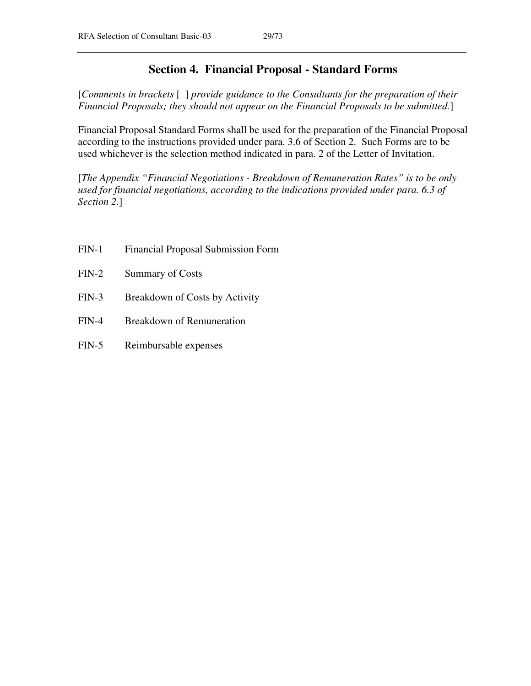#### **Section 4. Financial Proposal - Standard Forms**

[*Comments in brackets* [ ] *provide guidance to the Consultants for the preparation of their Financial Proposals; they should not appear on the Financial Proposals to be submitted.*]

Financial Proposal Standard Forms shall be used for the preparation of the Financial Proposal according to the instructions provided under para. 3.6 of Section 2. Such Forms are to be used whichever is the selection method indicated in para. 2 of the Letter of Invitation.

[*The Appendix "Financial Negotiations - Breakdown of Remuneration Rates" is to be only used for financial negotiations, according to the indications provided under para. 6.3 of Section 2.*]

- FIN-1 Financial Proposal Submission Form
- FIN-2 Summary of Costs
- FIN-3 Breakdown of Costs by Activity
- FIN-4 Breakdown of Remuneration
- FIN-5 Reimbursable expenses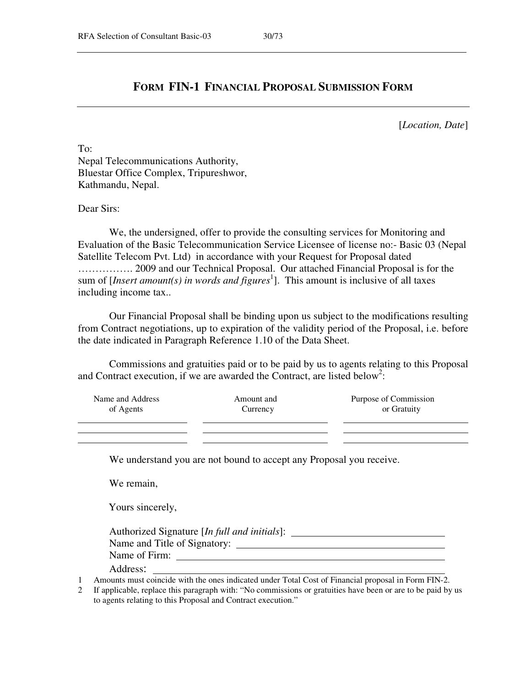## **FORM FIN-1 FINANCIAL PROPOSAL SUBMISSION FORM**

[*Location, Date*]

To: Nepal Telecommunications Authority, Bluestar Office Complex, Tripureshwor, Kathmandu, Nepal.

Dear Sirs:

 We, the undersigned, offer to provide the consulting services for Monitoring and Evaluation of the Basic Telecommunication Service Licensee of license no:- Basic 03 (Nepal Satellite Telecom Pvt. Ltd) in accordance with your Request for Proposal dated ……………. 2009 and our Technical Proposal. Our attached Financial Proposal is for the sum of [*Insert amount(s) in words and figures*<sup>1</sup>]. This amount is inclusive of all taxes including income tax..

 Our Financial Proposal shall be binding upon us subject to the modifications resulting from Contract negotiations, up to expiration of the validity period of the Proposal, i.e. before the date indicated in Paragraph Reference 1.10 of the Data Sheet.

 Commissions and gratuities paid or to be paid by us to agents relating to this Proposal and Contract execution, if we are awarded the Contract, are listed below<sup>2</sup>:

| Name and Address<br>of Agents | Amount and<br>Currency | Purpose of Commission<br>or Gratuity |
|-------------------------------|------------------------|--------------------------------------|
|                               |                        |                                      |
|                               |                        |                                      |

We understand you are not bound to accept any Proposal you receive.

We remain,

Yours sincerely,

| Authorized Signature [In full and initials]: |  |
|----------------------------------------------|--|
| Name and Title of Signatory: __              |  |
| Name of Firm:                                |  |
| .                                            |  |

Address:

1 Amounts must coincide with the ones indicated under Total Cost of Financial proposal in Form FIN-2.

2 If applicable, replace this paragraph with: "No commissions or gratuities have been or are to be paid by us to agents relating to this Proposal and Contract execution."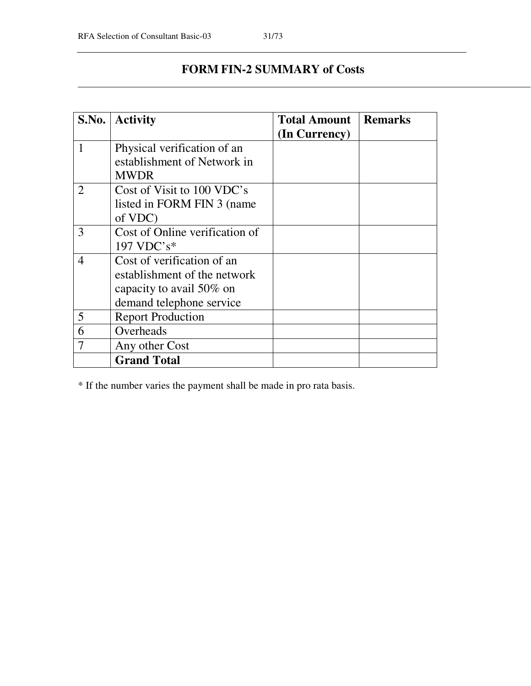# **FORM FIN-2 SUMMARY of Costs**

|                | S.No. Activity                 | <b>Total Amount   Remarks</b> |  |
|----------------|--------------------------------|-------------------------------|--|
|                |                                | (In Currency)                 |  |
| $\mathbf{1}$   | Physical verification of an    |                               |  |
|                | establishment of Network in    |                               |  |
|                | <b>MWDR</b>                    |                               |  |
| $\overline{2}$ | Cost of Visit to 100 VDC's     |                               |  |
|                | listed in FORM FIN 3 (name     |                               |  |
|                | of VDC)                        |                               |  |
| 3              | Cost of Online verification of |                               |  |
|                | 197 VDC's*                     |                               |  |
| 4              | Cost of verification of an     |                               |  |
|                | establishment of the network   |                               |  |
|                | capacity to avail 50% on       |                               |  |
|                | demand telephone service       |                               |  |
| 5              | <b>Report Production</b>       |                               |  |
| 6              | Overheads                      |                               |  |
|                | Any other Cost                 |                               |  |
|                | <b>Grand Total</b>             |                               |  |

\* If the number varies the payment shall be made in pro rata basis.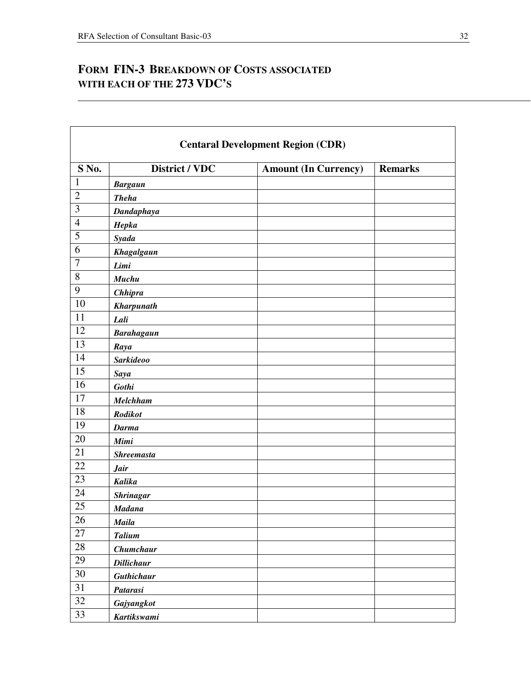$\mathsf{r}$ 

# **FORM FIN-3 BREAKDOWN OF COSTS ASSOCIATED WITH EACH OF THE 273 VDC'S**

| <b>Centaral Development Region (CDR)</b> |                    |                             |                |  |  |
|------------------------------------------|--------------------|-----------------------------|----------------|--|--|
| S No.                                    | District / VDC     | <b>Amount (In Currency)</b> | <b>Remarks</b> |  |  |
| $\mathbf{1}$                             | <b>Bargaun</b>     |                             |                |  |  |
| $\mathbf{2}$                             | <b>Theha</b>       |                             |                |  |  |
| 3                                        | Dandaphaya         |                             |                |  |  |
| $\overline{4}$                           | Hepka              |                             |                |  |  |
| 5                                        | Syada              |                             |                |  |  |
| 6                                        | Khagalgaun         |                             |                |  |  |
| $\overline{7}$                           | Limi               |                             |                |  |  |
| $8\,$                                    | Muchu              |                             |                |  |  |
| 9                                        | <b>Chhipra</b>     |                             |                |  |  |
| 10                                       | <b>Kharpunath</b>  |                             |                |  |  |
| 11                                       | Lali               |                             |                |  |  |
| 12                                       | <b>Barahagaun</b>  |                             |                |  |  |
| 13                                       | Raya               |                             |                |  |  |
| 14                                       | <b>Sarkideoo</b>   |                             |                |  |  |
| 15                                       | Saya               |                             |                |  |  |
| 16                                       | Gothi              |                             |                |  |  |
| 17                                       | <b>Melchham</b>    |                             |                |  |  |
| 18                                       | <b>Rodikot</b>     |                             |                |  |  |
| 19                                       | <b>Darma</b>       |                             |                |  |  |
| 20                                       | Mimi               |                             |                |  |  |
| 21                                       | <b>Shreemasta</b>  |                             |                |  |  |
| 22                                       | <b>Jair</b>        |                             |                |  |  |
| 23                                       | Kalika             |                             |                |  |  |
| 24                                       | <b>Shrinagar</b>   |                             |                |  |  |
| 25                                       | <b>Madana</b>      |                             |                |  |  |
| $\overline{26}$                          | Maila              |                             |                |  |  |
| 27                                       | <b>Talium</b>      |                             |                |  |  |
| 28                                       | Chumchaur          |                             |                |  |  |
| 29                                       | <b>Dillichaur</b>  |                             |                |  |  |
| 30                                       | Guthichaur         |                             |                |  |  |
| 31                                       | Patarasi           |                             |                |  |  |
| 32                                       | Gajyangkot         |                             |                |  |  |
| 33                                       | <b>Kartikswami</b> |                             |                |  |  |

 $\overline{\phantom{0}}$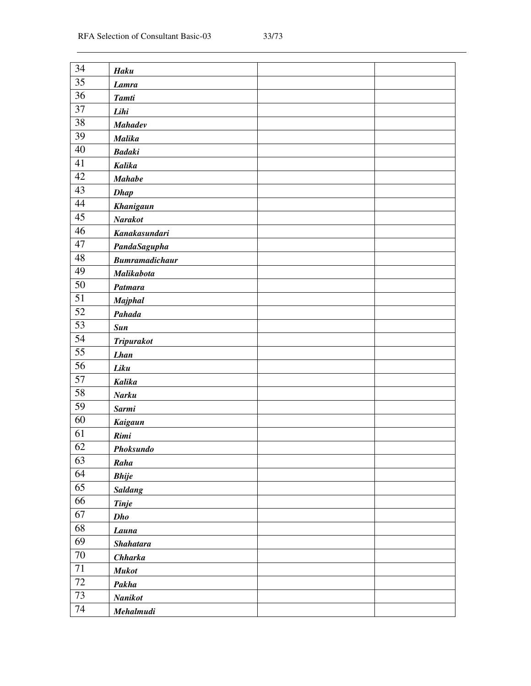| 34              | Haku                  |  |
|-----------------|-----------------------|--|
| 35              | <b>Lamra</b>          |  |
| 36              | <b>Tamti</b>          |  |
| 37              | Lihi                  |  |
| 38              | <b>Mahadev</b>        |  |
| 39              | Malika                |  |
| 40              | <b>Badaki</b>         |  |
| 41              | Kalika                |  |
| 42              | <b>Mahabe</b>         |  |
| 43              | <b>Dhap</b>           |  |
| 44              | Khanigaun             |  |
| $\overline{45}$ | <b>Narakot</b>        |  |
| 46              | Kanakasundari         |  |
| 47              | PandaSagupha          |  |
| 48              | <b>Bumramadichaur</b> |  |
| 49              | Malikabota            |  |
| 50              | <b>Patmara</b>        |  |
| 51              | Majphal               |  |
| $\overline{52}$ | Pahada                |  |
| $\overline{53}$ | <b>Sun</b>            |  |
| $\overline{54}$ | <b>Tripurakot</b>     |  |
| $\overline{55}$ | <b>Lhan</b>           |  |
| 56              | Liku                  |  |
| 57              | Kalika                |  |
| 58              | Narku                 |  |
| 59              | <b>Sarmi</b>          |  |
| 60              | Kaigaun               |  |
| 61              | Rimi                  |  |
| 62              | Phoksundo             |  |
| 63              | Raha                  |  |
| 64              | <b>Bhije</b>          |  |
| $\overline{65}$ | <b>Saldang</b>        |  |
| 66              | Tinje                 |  |
| 67              | <b>Dho</b>            |  |
| 68              | Launa                 |  |
| 69              | <b>Shahatara</b>      |  |
| $70\,$          | <b>Chharka</b>        |  |
| 71              | <b>Mukot</b>          |  |
| $72\,$          | Pakha                 |  |
| $73\,$          | <b>Nanikot</b>        |  |
| 74              | Mehalmudi             |  |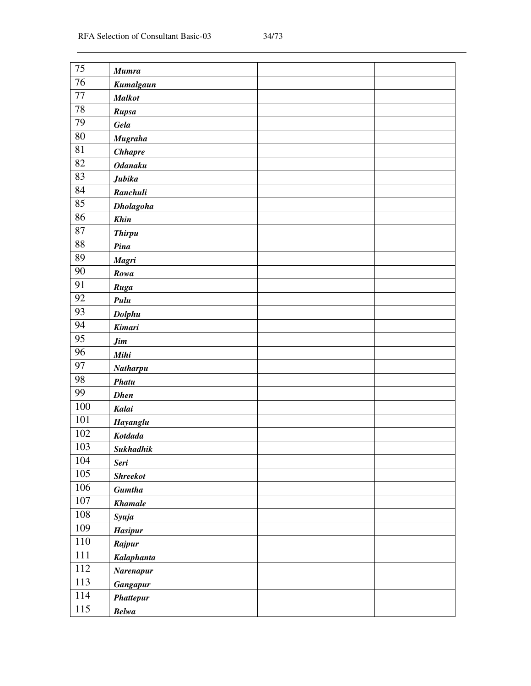| 75      | <b>Mumra</b>     |  |
|---------|------------------|--|
| 76      | Kumalgaun        |  |
| $77 \,$ | <b>Malkot</b>    |  |
| 78      | Rupsa            |  |
| 79      | Gela             |  |
| 80      | <b>Mugraha</b>   |  |
| 81      | <b>Chhapre</b>   |  |
| 82      | <b>Odanaku</b>   |  |
| 83      | Jubika           |  |
| 84      | Ranchuli         |  |
| 85      | <b>Dholagoha</b> |  |
| 86      | Khin             |  |
| $87\,$  | <b>Thirpu</b>    |  |
| 88      | Pina             |  |
| 89      | <b>Magri</b>     |  |
| $90\,$  | Rowa             |  |
| 91      | Ruga             |  |
| 92      | Pulu             |  |
| 93      | Dolphu           |  |
| 94      | <b>Kimari</b>    |  |
| 95      | Jim              |  |
| 96      | Mihi             |  |
| 97      | Natharpu         |  |
| 98      | <b>Phatu</b>     |  |
| 99      | <b>Dhen</b>      |  |
| 100     | Kalai            |  |
| 101     | Hayanglu         |  |
| 102     | Kotdada          |  |
| 103     | <b>Sukhadhik</b> |  |
| 104     | Seri             |  |
| 105     | <b>Shreekot</b>  |  |
| 106     | <b>Gumtha</b>    |  |
| $107\,$ | <b>Khamale</b>   |  |
| $108\,$ | Syuja            |  |
| 109     | <b>Hasipur</b>   |  |
| 110     | Rajpur           |  |
| 111     | Kalaphanta       |  |
| 112     | Narenapur        |  |
| 113     | <b>Gangapur</b>  |  |
| 114     | <b>Phattepur</b> |  |
| 115     | <b>Belwa</b>     |  |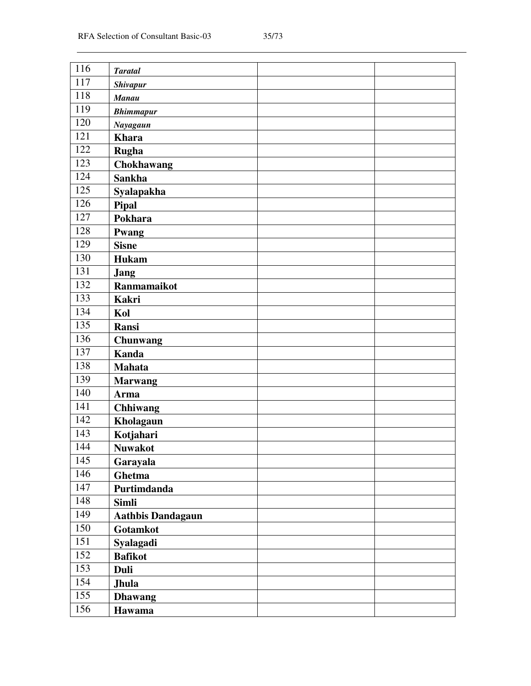| 116 | <b>Taratal</b>           |  |
|-----|--------------------------|--|
| 117 | <b>Shivapur</b>          |  |
| 118 | <b>Manau</b>             |  |
| 119 | <b>Bhimmapur</b>         |  |
| 120 | Nayagaun                 |  |
| 121 | <b>Khara</b>             |  |
| 122 | <b>Rugha</b>             |  |
| 123 | <b>Chokhawang</b>        |  |
| 124 | <b>Sankha</b>            |  |
| 125 | Syalapakha               |  |
| 126 | <b>Pipal</b>             |  |
| 127 | Pokhara                  |  |
| 128 | Pwang                    |  |
| 129 | <b>Sisne</b>             |  |
| 130 | Hukam                    |  |
| 131 | Jang                     |  |
| 132 | Ranmamaikot              |  |
| 133 | <b>Kakri</b>             |  |
| 134 | Kol                      |  |
| 135 | Ransi                    |  |
| 136 | Chunwang                 |  |
| 137 | <b>Kanda</b>             |  |
| 138 | <b>Mahata</b>            |  |
| 139 | <b>Marwang</b>           |  |
| 140 | <b>Arma</b>              |  |
| 141 | <b>Chhiwang</b>          |  |
| 142 | Kholagaun                |  |
| 143 | Kotjahari                |  |
| 144 | <b>Nuwakot</b>           |  |
| 145 | Garayala                 |  |
| 146 | Ghetma                   |  |
| 147 | Purtimdanda              |  |
| 148 | <b>Simli</b>             |  |
| 149 | <b>Aathbis Dandagaun</b> |  |
| 150 | Gotamkot                 |  |
| 151 | Syalagadi                |  |
| 152 | <b>Bafikot</b>           |  |
| 153 | Duli                     |  |
| 154 | Jhula                    |  |
| 155 | <b>Dhawang</b>           |  |
| 156 | Hawama                   |  |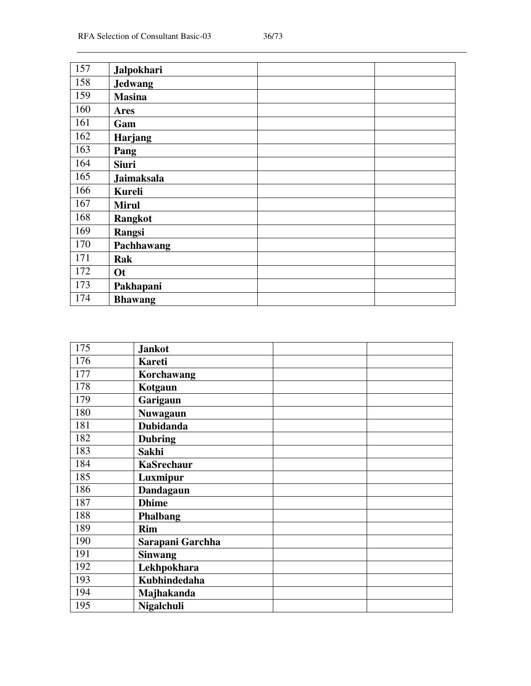| 157 | Jalpokhari        |
|-----|-------------------|
| 158 | <b>Jedwang</b>    |
| 159 | <b>Masina</b>     |
| 160 | <b>Ares</b>       |
| 161 | Gam               |
| 162 | Harjang           |
| 163 | Pang              |
| 164 | <b>Siuri</b>      |
| 165 | <b>Jaimaksala</b> |
| 166 | <b>Kureli</b>     |
| 167 | <b>Mirul</b>      |
| 168 | <b>Rangkot</b>    |
| 169 | <b>Rangsi</b>     |
| 170 | Pachhawang        |
| 171 | Rak               |
| 172 | Ot                |
| 173 | Pakhapani         |
| 174 | <b>Bhawang</b>    |

| 175 | <b>Jankot</b>     |  |
|-----|-------------------|--|
| 176 | <b>Kareti</b>     |  |
| 177 | Korchawang        |  |
| 178 | Kotgaun           |  |
| 179 | Garigaun          |  |
| 180 | Nuwagaun          |  |
| 181 | <b>Dubidanda</b>  |  |
| 182 | <b>Dubring</b>    |  |
| 183 | Sakhi             |  |
| 184 | <b>KaSrechaur</b> |  |
| 185 | Luxmipur          |  |
| 186 | Dandagaun         |  |
| 187 | <b>Dhime</b>      |  |
| 188 | <b>Phalbang</b>   |  |
| 189 | <b>Rim</b>        |  |
| 190 | Sarapani Garchha  |  |
| 191 | <b>Sinwang</b>    |  |
| 192 | Lekhpokhara       |  |
| 193 | Kubhindedaha      |  |
| 194 | Majhakanda        |  |
| 195 | <b>Nigalchuli</b> |  |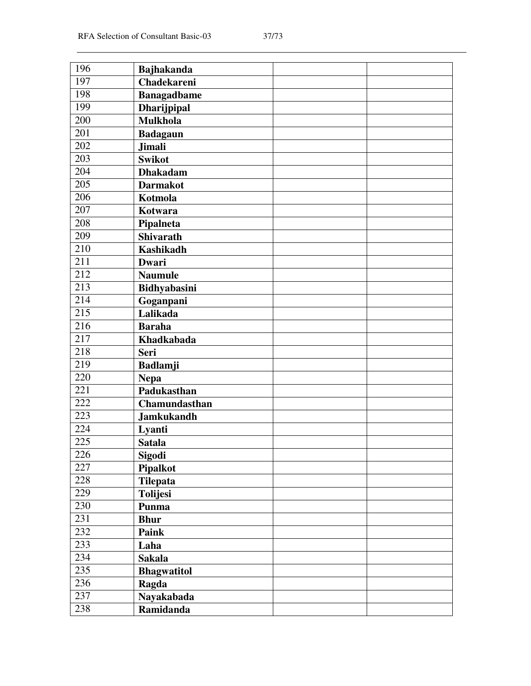| 196 | <b>Bajhakanda</b>  |
|-----|--------------------|
| 197 | Chadekareni        |
| 198 | <b>Banagadbame</b> |
| 199 | Dharijpipal        |
| 200 | <b>Mulkhola</b>    |
| 201 | <b>Badagaun</b>    |
| 202 | <b>Jimali</b>      |
| 203 | <b>Swikot</b>      |
| 204 | <b>Dhakadam</b>    |
| 205 | <b>Darmakot</b>    |
| 206 | Kotmola            |
| 207 | Kotwara            |
| 208 | Pipalneta          |
| 209 | <b>Shivarath</b>   |
| 210 | <b>Kashikadh</b>   |
| 211 | <b>Dwari</b>       |
| 212 | <b>Naumule</b>     |
| 213 | Bidhyabasini       |
| 214 | Goganpani          |
| 215 | Lalikada           |
| 216 | <b>Baraha</b>      |
| 217 | Khadkabada         |
| 218 | Seri               |
| 219 | Badlamji           |
| 220 | <b>Nepa</b>        |
| 221 | Padukasthan        |
| 222 | Chamundasthan      |
| 223 | <b>Jamkukandh</b>  |
| 224 | Lyanti             |
| 225 | <b>Satala</b>      |
| 226 | <b>Sigodi</b>      |
| 227 | <b>Pipalkot</b>    |
| 228 | <b>Tilepata</b>    |
| 229 | <b>Tolijesi</b>    |
| 230 | Punma              |
| 231 | <b>Bhur</b>        |
| 232 | <b>Paink</b>       |
| 233 | Laha               |
| 234 | <b>Sakala</b>      |
| 235 | <b>Bhagwatitol</b> |
| 236 | Ragda              |
| 237 | Nayakabada         |
| 238 | Ramidanda          |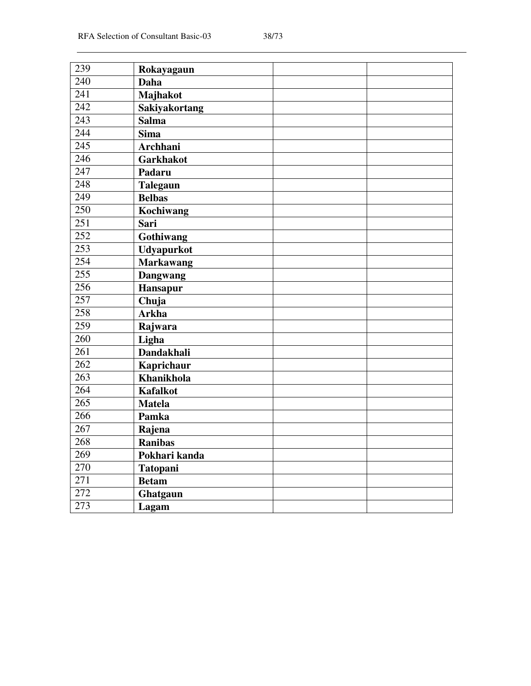| 239              | Rokayagaun        |  |
|------------------|-------------------|--|
| 240              | Daha              |  |
| 241              | Majhakot          |  |
| 242              | Sakiyakortang     |  |
| 243              | <b>Salma</b>      |  |
| 244              | <b>Sima</b>       |  |
| 245              | Archhani          |  |
| 246              | <b>Garkhakot</b>  |  |
| 247              | Padaru            |  |
| 248              | <b>Talegaun</b>   |  |
| 249              | <b>Belbas</b>     |  |
| 250              | <b>Kochiwang</b>  |  |
| $\overline{251}$ | Sari              |  |
| 252              | Gothiwang         |  |
| 253              | <b>Udyapurkot</b> |  |
| 254              | <b>Markawang</b>  |  |
| 255              | <b>Dangwang</b>   |  |
| 256              | Hansapur          |  |
| $\overline{257}$ | Chuja             |  |
| 258              | <b>Arkha</b>      |  |
| 259              | Rajwara           |  |
| 260              | Ligha             |  |
| 261              | <b>Dandakhali</b> |  |
| 262              | Kaprichaur        |  |
| 263              | <b>Khanikhola</b> |  |
| 264              | <b>Kafalkot</b>   |  |
| 265              | <b>Matela</b>     |  |
| 266              | Pamka             |  |
| 267              | Rajena            |  |
| 268              | <b>Ranibas</b>    |  |
| 269              | Pokhari kanda     |  |
| 270              | <b>Tatopani</b>   |  |
| $\overline{271}$ | <b>Betam</b>      |  |
| 272              | Ghatgaun          |  |
| 273              | Lagam             |  |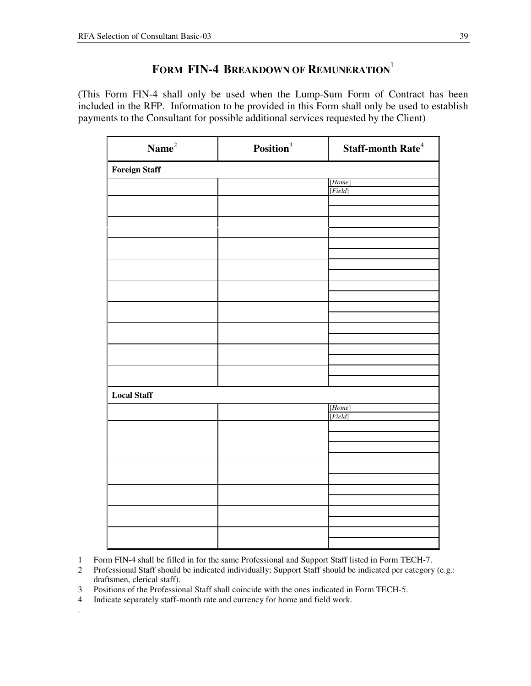## **FORM FIN-4 BREAKDOWN OF REMUNERATION**<sup>1</sup>

(This Form FIN-4 shall only be used when the Lump-Sum Form of Contract has been included in the RFP. Information to be provided in this Form shall only be used to establish payments to the Consultant for possible additional services requested by the Client)

| $\mathbf{Name}^2$    | Position <sup>3</sup> | Staff-month $\mathbf{Rate}^4$ |
|----------------------|-----------------------|-------------------------------|
| <b>Foreign Staff</b> |                       |                               |
|                      |                       | [Home]                        |
|                      |                       | [Field]                       |
|                      |                       |                               |
|                      |                       |                               |
|                      |                       |                               |
|                      |                       |                               |
|                      |                       |                               |
|                      |                       |                               |
|                      |                       |                               |
|                      |                       |                               |
|                      |                       |                               |
|                      |                       |                               |
|                      |                       |                               |
|                      |                       |                               |
|                      |                       |                               |
|                      |                       |                               |
|                      |                       |                               |
|                      |                       |                               |
| <b>Local Staff</b>   |                       |                               |
|                      |                       | [Home]                        |
|                      |                       |                               |
|                      |                       |                               |
|                      |                       |                               |
|                      |                       |                               |
|                      |                       |                               |
|                      |                       |                               |
|                      |                       |                               |
|                      |                       |                               |
|                      |                       |                               |
|                      |                       |                               |
|                      |                       |                               |

1 Form FIN-4 shall be filled in for the same Professional and Support Staff listed in Form TECH-7.

2 Professional Staff should be indicated individually; Support Staff should be indicated per category (e.g.: draftsmen, clerical staff).

3 Positions of the Professional Staff shall coincide with the ones indicated in Form TECH-5.<br>4 Indicate separately staff-month rate and currency for home and field work.

Indicate separately staff-month rate and currency for home and field work.

.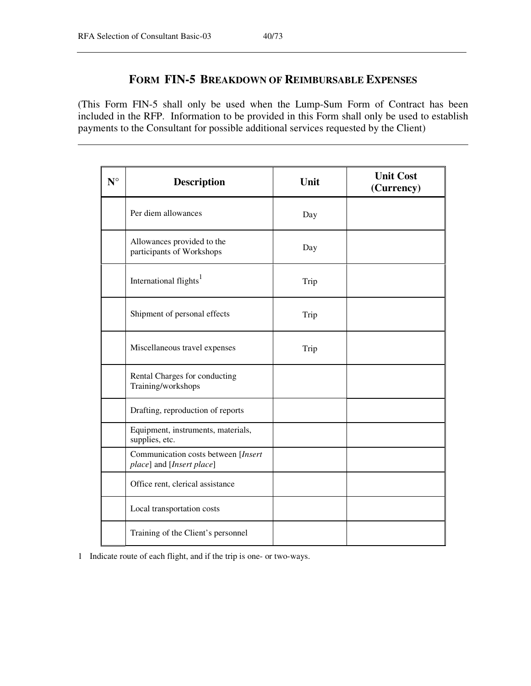## **FORM FIN-5 BREAKDOWN OF REIMBURSABLE EXPENSES**

(This Form FIN-5 shall only be used when the Lump-Sum Form of Contract has been included in the RFP. Information to be provided in this Form shall only be used to establish payments to the Consultant for possible additional services requested by the Client)

| $N^{\circ}$ | <b>Description</b>                                               | Unit | <b>Unit Cost</b><br>(Currency) |
|-------------|------------------------------------------------------------------|------|--------------------------------|
|             | Per diem allowances                                              | Day  |                                |
|             | Allowances provided to the<br>participants of Workshops          | Day  |                                |
|             | International flights <sup>1</sup>                               | Trip |                                |
|             | Shipment of personal effects                                     | Trip |                                |
|             | Miscellaneous travel expenses                                    | Trip |                                |
|             | Rental Charges for conducting<br>Training/workshops              |      |                                |
|             | Drafting, reproduction of reports                                |      |                                |
|             | Equipment, instruments, materials,<br>supplies, etc.             |      |                                |
|             | Communication costs between [Insert<br>place] and [Insert place] |      |                                |
|             | Office rent, clerical assistance                                 |      |                                |
|             | Local transportation costs                                       |      |                                |
|             | Training of the Client's personnel                               |      |                                |

1 Indicate route of each flight, and if the trip is one- or two-ways.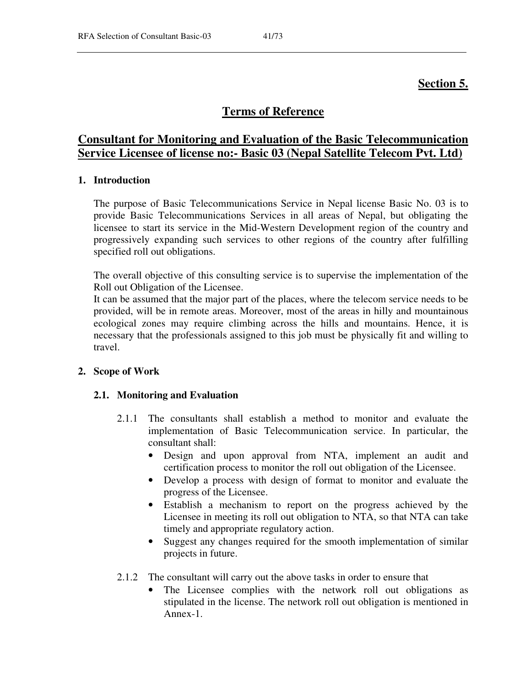## **Terms of Reference**

## **Consultant for Monitoring and Evaluation of the Basic Telecommunication Service Licensee of license no:- Basic 03 (Nepal Satellite Telecom Pvt. Ltd)**

## **1. Introduction**

The purpose of Basic Telecommunications Service in Nepal license Basic No. 03 is to provide Basic Telecommunications Services in all areas of Nepal, but obligating the licensee to start its service in the Mid-Western Development region of the country and progressively expanding such services to other regions of the country after fulfilling specified roll out obligations.

The overall objective of this consulting service is to supervise the implementation of the Roll out Obligation of the Licensee.

It can be assumed that the major part of the places, where the telecom service needs to be provided, will be in remote areas. Moreover, most of the areas in hilly and mountainous ecological zones may require climbing across the hills and mountains. Hence, it is necessary that the professionals assigned to this job must be physically fit and willing to travel.

### **2. Scope of Work**

## **2.1. Monitoring and Evaluation**

- 2.1.1 The consultants shall establish a method to monitor and evaluate the implementation of Basic Telecommunication service. In particular, the consultant shall:
	- Design and upon approval from NTA, implement an audit and certification process to monitor the roll out obligation of the Licensee.
	- Develop a process with design of format to monitor and evaluate the progress of the Licensee.
	- Establish a mechanism to report on the progress achieved by the Licensee in meeting its roll out obligation to NTA, so that NTA can take timely and appropriate regulatory action.
	- Suggest any changes required for the smooth implementation of similar projects in future.
- 2.1.2 The consultant will carry out the above tasks in order to ensure that
	- The Licensee complies with the network roll out obligations as stipulated in the license. The network roll out obligation is mentioned in Annex-1.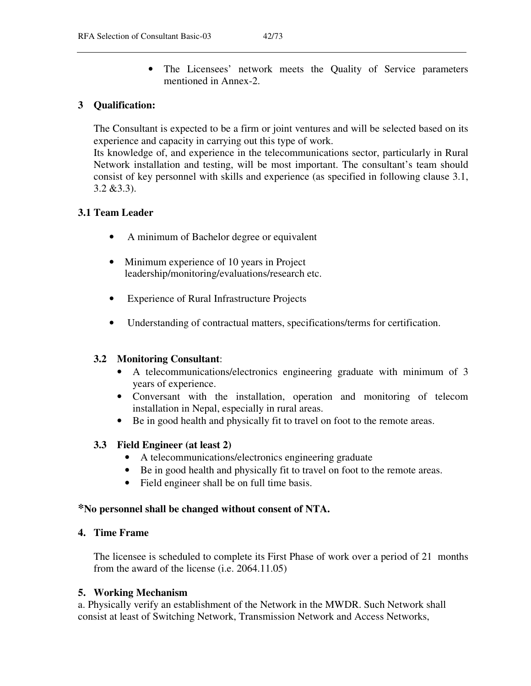• The Licensees' network meets the Quality of Service parameters mentioned in Annex-2.

### **3 Qualification:**

The Consultant is expected to be a firm or joint ventures and will be selected based on its experience and capacity in carrying out this type of work.

Its knowledge of, and experience in the telecommunications sector, particularly in Rural Network installation and testing, will be most important. The consultant's team should consist of key personnel with skills and experience (as specified in following clause 3.1, 3.2 &3.3).

### **3.1 Team Leader**

- A minimum of Bachelor degree or equivalent
- Minimum experience of 10 years in Project leadership/monitoring/evaluations/research etc.
- Experience of Rural Infrastructure Projects
- Understanding of contractual matters, specifications/terms for certification.

#### **3.2 Monitoring Consultant**:

- A telecommunications/electronics engineering graduate with minimum of 3 years of experience.
- Conversant with the installation, operation and monitoring of telecom installation in Nepal, especially in rural areas.
- Be in good health and physically fit to travel on foot to the remote areas.

#### **3.3 Field Engineer (at least 2)**

- A telecommunications/electronics engineering graduate
- Be in good health and physically fit to travel on foot to the remote areas.
- Field engineer shall be on full time basis.

### **\*No personnel shall be changed without consent of NTA.**

#### **4. Time Frame**

The licensee is scheduled to complete its First Phase of work over a period of 21 months from the award of the license (i.e. 2064.11.05)

#### **5. Working Mechanism**

a. Physically verify an establishment of the Network in the MWDR. Such Network shall consist at least of Switching Network, Transmission Network and Access Networks,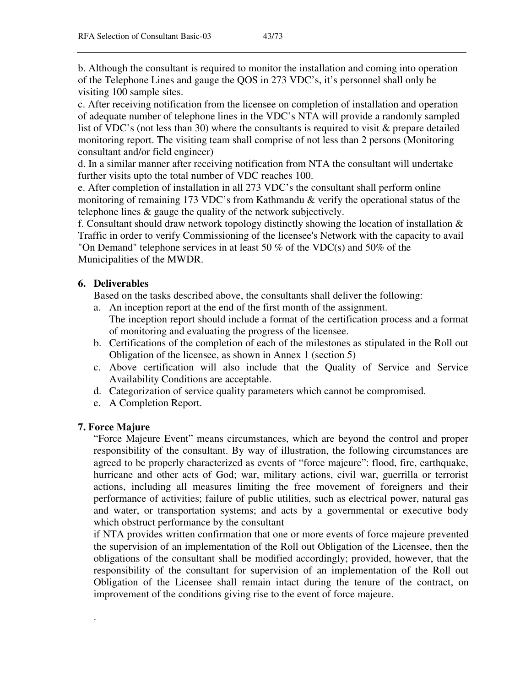b. Although the consultant is required to monitor the installation and coming into operation of the Telephone Lines and gauge the QOS in 273 VDC's, it's personnel shall only be visiting 100 sample sites.

c. After receiving notification from the licensee on completion of installation and operation of adequate number of telephone lines in the VDC's NTA will provide a randomly sampled list of VDC's (not less than 30) where the consultants is required to visit & prepare detailed monitoring report. The visiting team shall comprise of not less than 2 persons (Monitoring consultant and/or field engineer)

d. In a similar manner after receiving notification from NTA the consultant will undertake further visits upto the total number of VDC reaches 100.

e. After completion of installation in all 273 VDC's the consultant shall perform online monitoring of remaining 173 VDC's from Kathmandu & verify the operational status of the telephone lines & gauge the quality of the network subjectively.

f. Consultant should draw network topology distinctly showing the location of installation  $\&$ Traffic in order to verify Commissioning of the licensee's Network with the capacity to avail "On Demand" telephone services in at least 50 % of the VDC(s) and 50% of the Municipalities of the MWDR.

### **6. Deliverables**

Based on the tasks described above, the consultants shall deliver the following:

- a. An inception report at the end of the first month of the assignment. The inception report should include a format of the certification process and a format of monitoring and evaluating the progress of the licensee.
- b. Certifications of the completion of each of the milestones as stipulated in the Roll out Obligation of the licensee, as shown in Annex 1 (section 5)
- c. Above certification will also include that the Quality of Service and Service Availability Conditions are acceptable.
- d. Categorization of service quality parameters which cannot be compromised.
- e. A Completion Report.

### **7. Force Majure**

.

"Force Majeure Event" means circumstances, which are beyond the control and proper responsibility of the consultant. By way of illustration, the following circumstances are agreed to be properly characterized as events of "force majeure": flood, fire, earthquake, hurricane and other acts of God; war, military actions, civil war, guerrilla or terrorist actions, including all measures limiting the free movement of foreigners and their performance of activities; failure of public utilities, such as electrical power, natural gas and water, or transportation systems; and acts by a governmental or executive body which obstruct performance by the consultant

if NTA provides written confirmation that one or more events of force majeure prevented the supervision of an implementation of the Roll out Obligation of the Licensee, then the obligations of the consultant shall be modified accordingly; provided, however, that the responsibility of the consultant for supervision of an implementation of the Roll out Obligation of the Licensee shall remain intact during the tenure of the contract, on improvement of the conditions giving rise to the event of force majeure.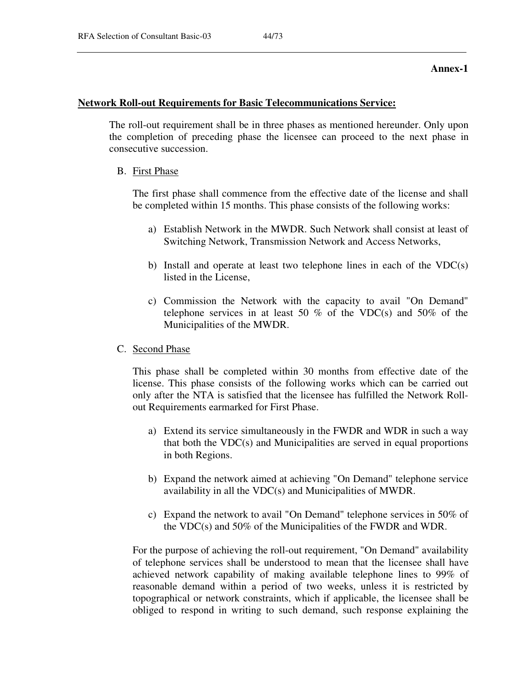#### **Annex-1**

#### **Network Roll-out Requirements for Basic Telecommunications Service:**

The roll-out requirement shall be in three phases as mentioned hereunder. Only upon the completion of preceding phase the licensee can proceed to the next phase in consecutive succession.

B. First Phase

The first phase shall commence from the effective date of the license and shall be completed within 15 months. This phase consists of the following works:

- a) Establish Network in the MWDR. Such Network shall consist at least of Switching Network, Transmission Network and Access Networks,
- b) Install and operate at least two telephone lines in each of the VDC(s) listed in the License,
- c) Commission the Network with the capacity to avail "On Demand" telephone services in at least 50  $%$  of the VDC(s) and 50% of the Municipalities of the MWDR.
- C. Second Phase

This phase shall be completed within 30 months from effective date of the license. This phase consists of the following works which can be carried out only after the NTA is satisfied that the licensee has fulfilled the Network Rollout Requirements earmarked for First Phase.

- a) Extend its service simultaneously in the FWDR and WDR in such a way that both the VDC(s) and Municipalities are served in equal proportions in both Regions.
- b) Expand the network aimed at achieving "On Demand" telephone service availability in all the VDC(s) and Municipalities of MWDR.
- c) Expand the network to avail "On Demand" telephone services in 50% of the VDC(s) and 50% of the Municipalities of the FWDR and WDR.

For the purpose of achieving the roll-out requirement, "On Demand" availability of telephone services shall be understood to mean that the licensee shall have achieved network capability of making available telephone lines to 99% of reasonable demand within a period of two weeks, unless it is restricted by topographical or network constraints, which if applicable, the licensee shall be obliged to respond in writing to such demand, such response explaining the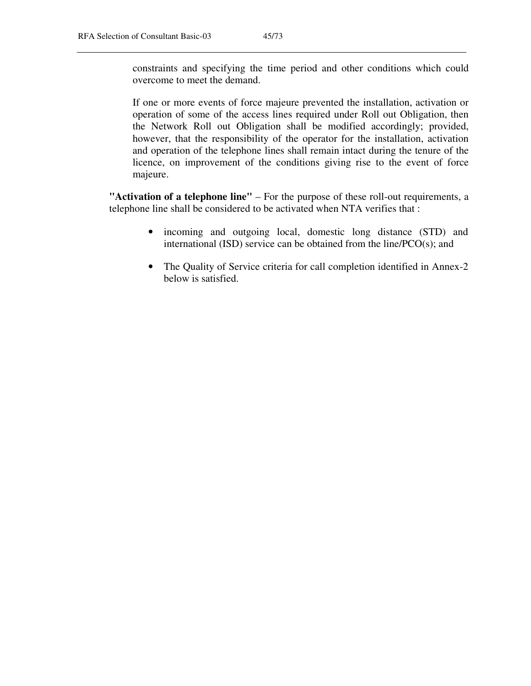constraints and specifying the time period and other conditions which could overcome to meet the demand.

If one or more events of force majeure prevented the installation, activation or operation of some of the access lines required under Roll out Obligation, then the Network Roll out Obligation shall be modified accordingly; provided, however, that the responsibility of the operator for the installation, activation and operation of the telephone lines shall remain intact during the tenure of the licence, on improvement of the conditions giving rise to the event of force majeure.

"Activation of a telephone line" – For the purpose of these roll-out requirements, a telephone line shall be considered to be activated when NTA verifies that :

- incoming and outgoing local, domestic long distance (STD) and international (ISD) service can be obtained from the line/PCO(s); and
- The Quality of Service criteria for call completion identified in Annex-2 below is satisfied.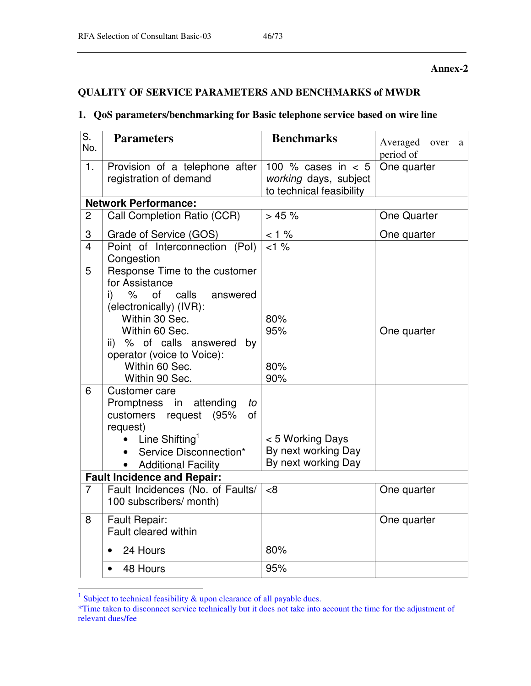### **Annex-2**

## **QUALITY OF SERVICE PARAMETERS AND BENCHMARKS of MWDR**

## **1. QoS parameters/benchmarking for Basic telephone service based on wire line**

| S.<br>No.               | <b>Parameters</b>                                                                                                                                                                                                                                                    | <b>Benchmarks</b>                                                         | Averaged over<br>a<br>period of |
|-------------------------|----------------------------------------------------------------------------------------------------------------------------------------------------------------------------------------------------------------------------------------------------------------------|---------------------------------------------------------------------------|---------------------------------|
| $\mathbf{1}$ .          | Provision of a telephone after<br>registration of demand                                                                                                                                                                                                             | 100 % cases in $< 5$<br>working days, subject<br>to technical feasibility | One quarter                     |
|                         | <b>Network Performance:</b>                                                                                                                                                                                                                                          |                                                                           |                                 |
| $\overline{2}$          | Call Completion Ratio (CCR)                                                                                                                                                                                                                                          | > 45%                                                                     | <b>One Quarter</b>              |
| 3                       | Grade of Service (GOS)                                                                                                                                                                                                                                               | $< 1 \%$                                                                  | One quarter                     |
| $\overline{\mathbf{4}}$ | Point of Interconnection (Pol)<br>Congestion                                                                                                                                                                                                                         | $<1\%$                                                                    |                                 |
| 5                       | Response Time to the customer<br>for Assistance<br>calls<br>$\%$<br><b>of</b><br>answered<br>i)<br>(electronically) (IVR):<br>Within 30 Sec.<br>Within 60 Sec.<br>% of calls answered<br>by<br>ii)<br>operator (voice to Voice):<br>Within 60 Sec.<br>Within 90 Sec. | 80%<br>95%<br>80%<br>90%                                                  | One quarter                     |
| 6                       | Customer care<br>attending<br>Promptness in<br>to<br>customers request (95%<br><b>of</b><br>request)<br>Line Shifting <sup>1</sup><br>Service Disconnection*<br><b>Additional Facility</b>                                                                           | < 5 Working Days<br>By next working Day<br>By next working Day            |                                 |
|                         | <b>Fault Incidence and Repair:</b>                                                                                                                                                                                                                                   |                                                                           |                                 |
| $\overline{7}$          | Fault Incidences (No. of Faults/<br>100 subscribers/ month)                                                                                                                                                                                                          | < 8                                                                       | One quarter                     |
| 8                       | Fault Repair:<br>Fault cleared within                                                                                                                                                                                                                                |                                                                           | One quarter                     |
|                         | 24 Hours                                                                                                                                                                                                                                                             | 80%                                                                       |                                 |
|                         | 48 Hours                                                                                                                                                                                                                                                             | 95%                                                                       |                                 |

 1 Subject to technical feasibility & upon clearance of all payable dues.

<sup>\*</sup>Time taken to disconnect service technically but it does not take into account the time for the adjustment of relevant dues/fee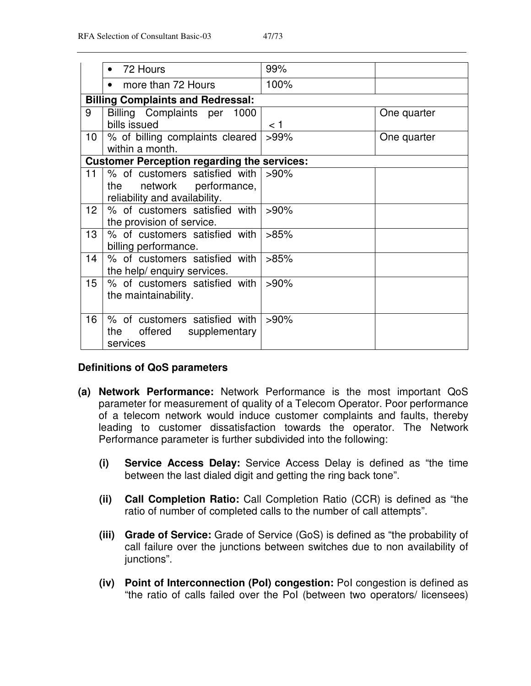|                  | 72 Hours                                                                                             | 99%     |             |
|------------------|------------------------------------------------------------------------------------------------------|---------|-------------|
|                  | more than 72 Hours<br>$\bullet$                                                                      | 100%    |             |
|                  | <b>Billing Complaints and Redressal:</b>                                                             |         |             |
| 9                | Billing Complaints per 1000<br>bills issued                                                          | $<$ 1   | One quarter |
| 10 <sup>°</sup>  | % of billing complaints cleared<br>within a month.                                                   | $>99\%$ | One quarter |
|                  | <b>Customer Perception regarding the services:</b>                                                   |         |             |
| 11               | % of customers satisfied with   >90%<br>network performance,<br>the<br>reliability and availability. |         |             |
| 12 <sup>°</sup>  | % of customers satisfied with<br>the provision of service.                                           | $>90\%$ |             |
| 13 <sup>2</sup>  | % of customers satisfied with<br>billing performance.                                                | >85%    |             |
| 14               | % of customers satisfied with<br>the help/ enquiry services.                                         | >85%    |             |
| 15 <sup>15</sup> | % of customers satisfied with<br>the maintainability.                                                | $>90\%$ |             |
| 16               | % of customers satisfied with<br>offered supplementary<br>the<br>services                            | $>90\%$ |             |

## **Definitions of QoS parameters**

- **(a) Network Performance:** Network Performance is the most important QoS parameter for measurement of quality of a Telecom Operator. Poor performance of a telecom network would induce customer complaints and faults, thereby leading to customer dissatisfaction towards the operator. The Network Performance parameter is further subdivided into the following:
	- **(i) Service Access Delay:** Service Access Delay is defined as "the time between the last dialed digit and getting the ring back tone".
	- **(ii) Call Completion Ratio:** Call Completion Ratio (CCR) is defined as "the ratio of number of completed calls to the number of call attempts".
	- **(iii) Grade of Service:** Grade of Service (GoS) is defined as "the probability of call failure over the junctions between switches due to non availability of junctions".
	- **(iv) Point of Interconnection (PoI) congestion:** PoI congestion is defined as "the ratio of calls failed over the PoI (between two operators/ licensees)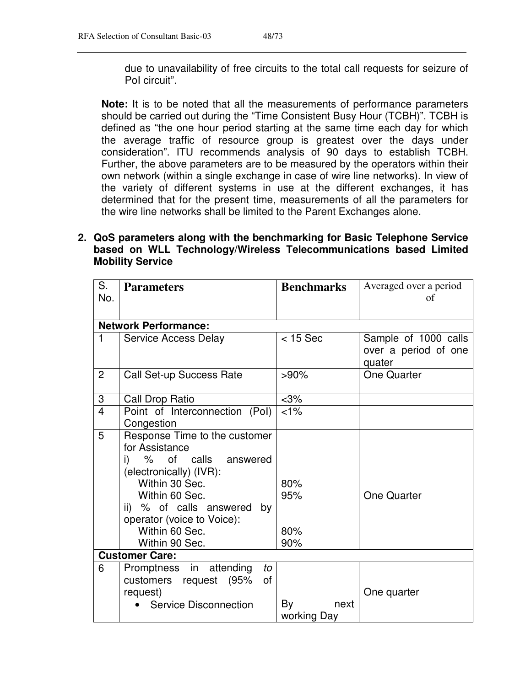due to unavailability of free circuits to the total call requests for seizure of PoI circuit".

**Note:** It is to be noted that all the measurements of performance parameters should be carried out during the "Time Consistent Busy Hour (TCBH)". TCBH is defined as "the one hour period starting at the same time each day for which the average traffic of resource group is greatest over the days under consideration". ITU recommends analysis of 90 days to establish TCBH. Further, the above parameters are to be measured by the operators within their own network (within a single exchange in case of wire line networks). In view of the variety of different systems in use at the different exchanges, it has determined that for the present time, measurements of all the parameters for the wire line networks shall be limited to the Parent Exchanges alone.

## **2. QoS parameters along with the benchmarking for Basic Telephone Service based on WLL Technology/Wireless Telecommunications based Limited Mobility Service**

| S.<br>No.               | <b>Parameters</b>                                                                                                                                                                                                                        | <b>Benchmarks</b>         | Averaged over a period<br>of                           |
|-------------------------|------------------------------------------------------------------------------------------------------------------------------------------------------------------------------------------------------------------------------------------|---------------------------|--------------------------------------------------------|
|                         |                                                                                                                                                                                                                                          |                           |                                                        |
|                         | <b>Network Performance:</b>                                                                                                                                                                                                              |                           |                                                        |
| $\mathbf{1}$            | <b>Service Access Delay</b>                                                                                                                                                                                                              | $<$ 15 Sec                | Sample of 1000 calls<br>over a period of one<br>quater |
| $\overline{2}$          | Call Set-up Success Rate                                                                                                                                                                                                                 | $>90\%$                   | One Quarter                                            |
| 3                       | Call Drop Ratio                                                                                                                                                                                                                          | $<$ 3%                    |                                                        |
| $\overline{\mathbf{4}}$ | Point of Interconnection (Pol)<br>Congestion                                                                                                                                                                                             | $< 1\%$                   |                                                        |
| 5                       | Response Time to the customer<br>for Assistance<br>i) % of calls answered<br>(electronically) (IVR):<br>Within 30 Sec.<br>Within 60 Sec.<br>ii) % of calls answered by<br>operator (voice to Voice):<br>Within 60 Sec.<br>Within 90 Sec. | 80%<br>95%<br>80%<br>90%  | <b>One Quarter</b>                                     |
|                         | <b>Customer Care:</b>                                                                                                                                                                                                                    |                           |                                                        |
| 6                       | Promptness in attending<br>to<br>customers request (95%<br>οf<br>request)<br><b>Service Disconnection</b>                                                                                                                                | By<br>next<br>working Day | One quarter                                            |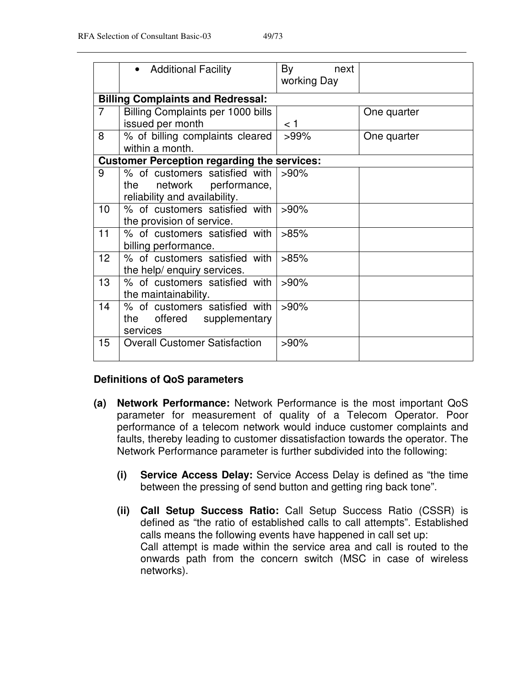|                  | <b>Additional Facility</b>                                                                 | By<br>next<br>working Day |             |
|------------------|--------------------------------------------------------------------------------------------|---------------------------|-------------|
|                  | <b>Billing Complaints and Redressal:</b>                                                   |                           |             |
| $\overline{7}$   | Billing Complaints per 1000 bills<br>issued per month                                      | < 1                       | One quarter |
| 8                | % of billing complaints cleared<br>within a month.                                         | $>99\%$                   | One quarter |
|                  | <b>Customer Perception regarding the services:</b>                                         |                           |             |
| 9                | % of customers satisfied with<br>the network performance,<br>reliability and availability. | ⊳90%                      |             |
| 10               | % of customers satisfied with<br>the provision of service.                                 | $>90\%$                   |             |
| 11               | % of customers satisfied with<br>billing performance.                                      | >85%                      |             |
| 12 <sup>2</sup>  | % of customers satisfied with<br>the help/ enquiry services.                               | >85%                      |             |
| 13               | % of customers satisfied with<br>the maintainability.                                      | $>90\%$                   |             |
| 14               | % of customers satisfied with<br>the offered supplementary<br>services                     | $>90\%$                   |             |
| 15 <sup>15</sup> | <b>Overall Customer Satisfaction</b>                                                       | $>90\%$                   |             |

### **Definitions of QoS parameters**

- **(a) Network Performance:** Network Performance is the most important QoS parameter for measurement of quality of a Telecom Operator. Poor performance of a telecom network would induce customer complaints and faults, thereby leading to customer dissatisfaction towards the operator. The Network Performance parameter is further subdivided into the following:
	- **(i) Service Access Delay:** Service Access Delay is defined as "the time between the pressing of send button and getting ring back tone".
	- **(ii) Call Setup Success Ratio:** Call Setup Success Ratio (CSSR) is defined as "the ratio of established calls to call attempts". Established calls means the following events have happened in call set up: Call attempt is made within the service area and call is routed to the onwards path from the concern switch (MSC in case of wireless networks).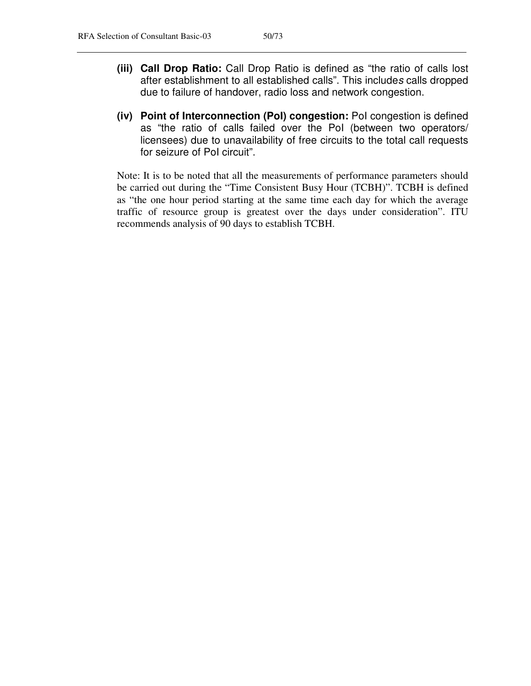- **(iii) Call Drop Ratio:** Call Drop Ratio is defined as "the ratio of calls lost after establishment to all established calls". This includes calls dropped due to failure of handover, radio loss and network congestion.
- **(iv) Point of Interconnection (PoI) congestion:** PoI congestion is defined as "the ratio of calls failed over the PoI (between two operators/ licensees) due to unavailability of free circuits to the total call requests for seizure of PoI circuit".

Note: It is to be noted that all the measurements of performance parameters should be carried out during the "Time Consistent Busy Hour (TCBH)". TCBH is defined as "the one hour period starting at the same time each day for which the average traffic of resource group is greatest over the days under consideration". ITU recommends analysis of 90 days to establish TCBH.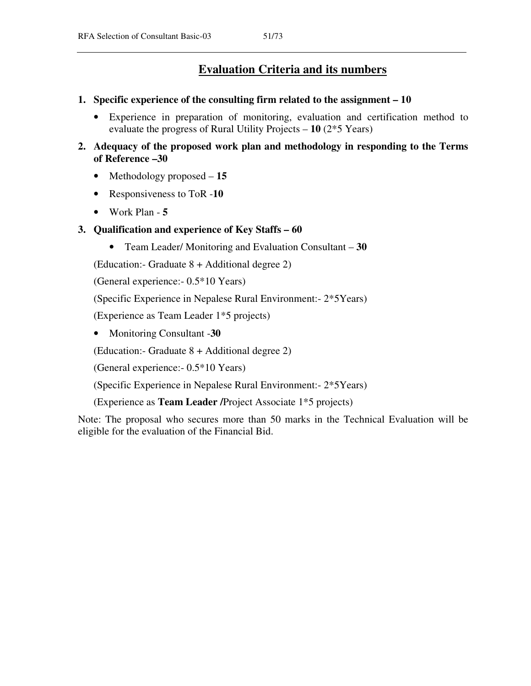## **Evaluation Criteria and its numbers**

- **1. Specific experience of the consulting firm related to the assignment 10** 
	- Experience in preparation of monitoring, evaluation and certification method to evaluate the progress of Rural Utility Projects – **10** (2\*5 Years)
- **2. Adequacy of the proposed work plan and methodology in responding to the Terms of Reference –30** 
	- Methodology proposed **15**
	- Responsiveness to ToR -**10**
	- Work Plan **5**

#### **3. Qualification and experience of Key Staffs – 60**

• Team Leader/ Monitoring and Evaluation Consultant – **30**

(Education:- Graduate 8 + Additional degree 2)

(General experience:- 0.5\*10 Years)

(Specific Experience in Nepalese Rural Environment:- 2\*5Years)

(Experience as Team Leader 1\*5 projects)

• Monitoring Consultant -**30** 

(Education:- Graduate 8 + Additional degree 2)

(General experience:- 0.5\*10 Years)

(Specific Experience in Nepalese Rural Environment:- 2\*5Years)

(Experience as **Team Leader /**Project Associate 1\*5 projects)

Note: The proposal who secures more than 50 marks in the Technical Evaluation will be eligible for the evaluation of the Financial Bid.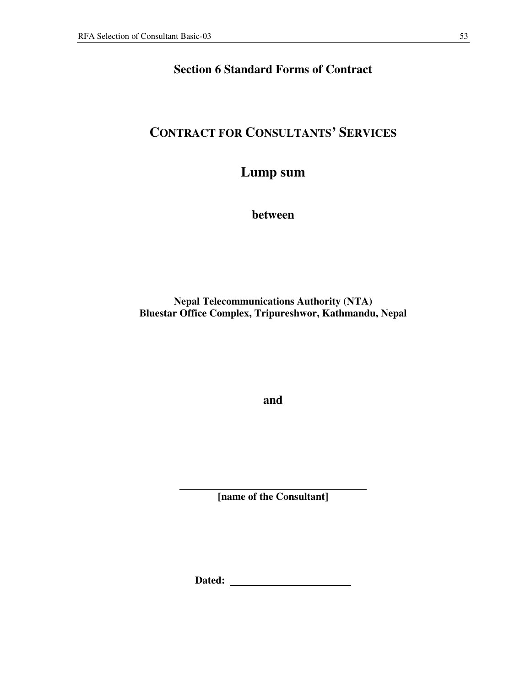## **Section 6 Standard Forms of Contract**

## **CONTRACT FOR CONSULTANTS' SERVICES**

## **Lump sum**

**between**

**Nepal Telecommunications Authority (NTA) Bluestar Office Complex, Tripureshwor, Kathmandu, Nepal** 

**and** 

**[name of the Consultant]** 

**Dated:**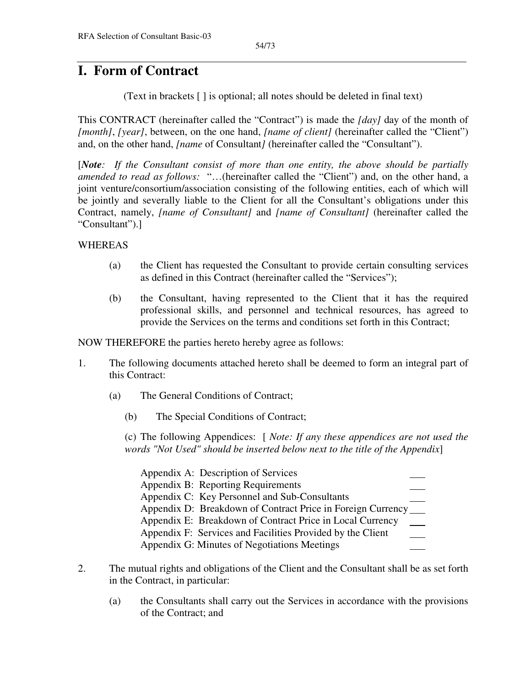## **I. Form of Contract**

(Text in brackets [ ] is optional; all notes should be deleted in final text)

This CONTRACT (hereinafter called the "Contract") is made the *[day]* day of the month of *[month]*, *[year]*, between, on the one hand, *[name of client]* (hereinafter called the "Client") and, on the other hand, *[name* of Consultant*]* (hereinafter called the "Consultant").

[*Note: If the Consultant consist of more than one entity, the above should be partially amended to read as follows:* "…(hereinafter called the "Client") and, on the other hand, a joint venture/consortium/association consisting of the following entities, each of which will be jointly and severally liable to the Client for all the Consultant's obligations under this Contract, namely, *[name of Consultant]* and *[name of Consultant]* (hereinafter called the "Consultant").]

## WHEREAS

- (a) the Client has requested the Consultant to provide certain consulting services as defined in this Contract (hereinafter called the "Services");
- (b) the Consultant, having represented to the Client that it has the required professional skills, and personnel and technical resources, has agreed to provide the Services on the terms and conditions set forth in this Contract;

NOW THEREFORE the parties hereto hereby agree as follows:

- 1. The following documents attached hereto shall be deemed to form an integral part of this Contract:
	- (a) The General Conditions of Contract;
		- (b) The Special Conditions of Contract;

(c) The following Appendices: [ *Note: If any these appendices are not used the words "Not Used" should be inserted below next to the title of the Appendix*]

| Appendix A: Description of Services                         |  |
|-------------------------------------------------------------|--|
| Appendix B: Reporting Requirements                          |  |
| Appendix C: Key Personnel and Sub-Consultants               |  |
| Appendix D: Breakdown of Contract Price in Foreign Currency |  |
| Appendix E: Breakdown of Contract Price in Local Currency   |  |
| Appendix F: Services and Facilities Provided by the Client  |  |
| Appendix G: Minutes of Negotiations Meetings                |  |

- 2. The mutual rights and obligations of the Client and the Consultant shall be as set forth in the Contract, in particular:
	- (a) the Consultants shall carry out the Services in accordance with the provisions of the Contract; and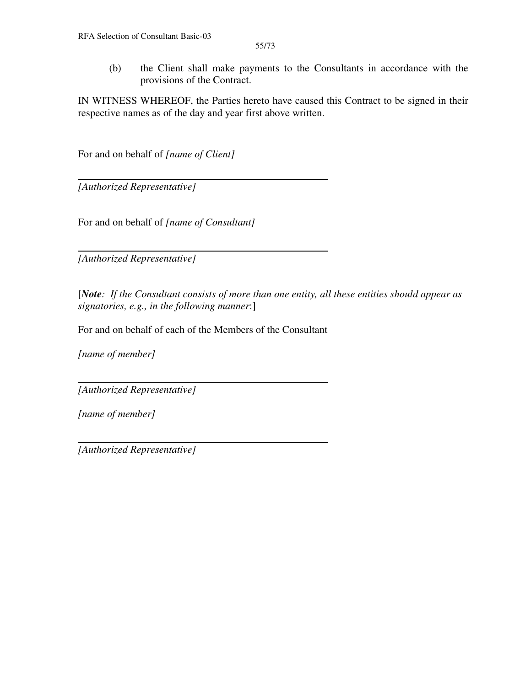(b) the Client shall make payments to the Consultants in accordance with the provisions of the Contract.

IN WITNESS WHEREOF, the Parties hereto have caused this Contract to be signed in their respective names as of the day and year first above written.

For and on behalf of *[name of Client]*

*[Authorized Representative]*

For and on behalf of *[name of Consultant]*

*[Authorized Representative]*

[*Note: If the Consultant consists of more than one entity, all these entities should appear as signatories, e.g., in the following manner*:]

For and on behalf of each of the Members of the Consultant

*[name of member]*

*[Authorized Representative]*

*[name of member]*

*[Authorized Representative]*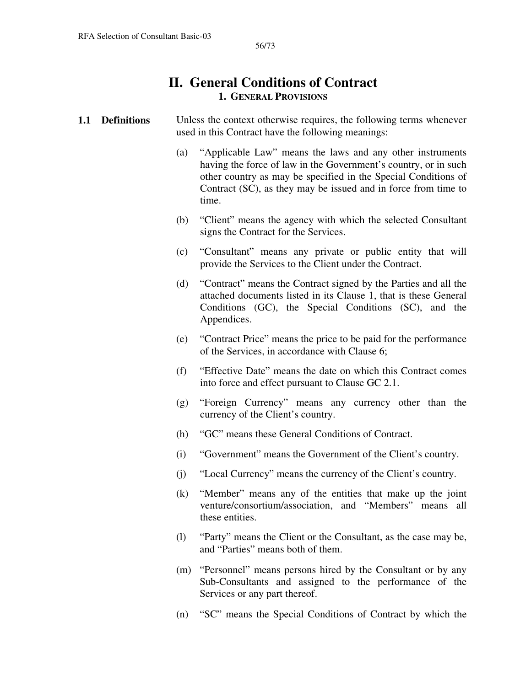## **II. General Conditions of Contract 1. GENERAL PROVISIONS**

### **1.1 Definitions** Unless the context otherwise requires, the following terms whenever used in this Contract have the following meanings:

- (a) "Applicable Law" means the laws and any other instruments having the force of law in the Government's country, or in such other country as may be specified in the Special Conditions of Contract (SC), as they may be issued and in force from time to time.
- (b) "Client" means the agency with which the selected Consultant signs the Contract for the Services.
- (c) "Consultant" means any private or public entity that will provide the Services to the Client under the Contract.
- (d) "Contract" means the Contract signed by the Parties and all the attached documents listed in its Clause 1, that is these General Conditions (GC), the Special Conditions (SC), and the Appendices.
- (e) "Contract Price" means the price to be paid for the performance of the Services, in accordance with Clause 6;
- (f) "Effective Date" means the date on which this Contract comes into force and effect pursuant to Clause GC 2.1.
- (g) "Foreign Currency" means any currency other than the currency of the Client's country.
- (h) "GC" means these General Conditions of Contract.
- (i) "Government" means the Government of the Client's country.
- (j) "Local Currency" means the currency of the Client's country.
- (k) "Member" means any of the entities that make up the joint venture/consortium/association, and "Members" means all these entities.
- (l) "Party" means the Client or the Consultant, as the case may be, and "Parties" means both of them.
- (m) "Personnel" means persons hired by the Consultant or by any Sub-Consultants and assigned to the performance of the Services or any part thereof.
- (n) "SC" means the Special Conditions of Contract by which the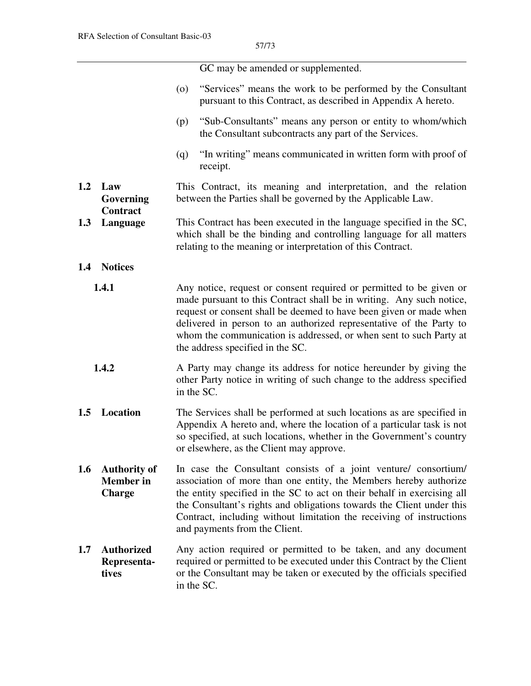|                 |                                                          |     | GC may be amended or supplemented.                                                                                                                                                                                                                                                                                                                                                                 |
|-----------------|----------------------------------------------------------|-----|----------------------------------------------------------------------------------------------------------------------------------------------------------------------------------------------------------------------------------------------------------------------------------------------------------------------------------------------------------------------------------------------------|
|                 |                                                          | (0) | "Services" means the work to be performed by the Consultant<br>pursuant to this Contract, as described in Appendix A hereto.                                                                                                                                                                                                                                                                       |
|                 |                                                          | (p) | "Sub-Consultants" means any person or entity to whom/which<br>the Consultant subcontracts any part of the Services.                                                                                                                                                                                                                                                                                |
|                 |                                                          | (q) | "In writing" means communicated in written form with proof of<br>receipt.                                                                                                                                                                                                                                                                                                                          |
| 1.2             | Law<br>Governing<br>Contract                             |     | This Contract, its meaning and interpretation, and the relation<br>between the Parties shall be governed by the Applicable Law.                                                                                                                                                                                                                                                                    |
| 1.3<br>Language |                                                          |     | This Contract has been executed in the language specified in the SC,<br>which shall be the binding and controlling language for all matters<br>relating to the meaning or interpretation of this Contract.                                                                                                                                                                                         |
|                 | 1.4 Notices                                              |     |                                                                                                                                                                                                                                                                                                                                                                                                    |
|                 | 1.4.1                                                    |     | Any notice, request or consent required or permitted to be given or<br>made pursuant to this Contract shall be in writing. Any such notice,<br>request or consent shall be deemed to have been given or made when<br>delivered in person to an authorized representative of the Party to<br>whom the communication is addressed, or when sent to such Party at<br>the address specified in the SC. |
|                 | 1.4.2                                                    |     | A Party may change its address for notice hereunder by giving the<br>other Party notice in writing of such change to the address specified<br>in the SC.                                                                                                                                                                                                                                           |
| 1.5             | Location                                                 |     | The Services shall be performed at such locations as are specified in<br>Appendix A hereto and, where the location of a particular task is not<br>so specified, at such locations, whether in the Government's country<br>or elsewhere, as the Client may approve.                                                                                                                                 |
| 1.6             | <b>Authority of</b><br><b>Member</b> in<br><b>Charge</b> |     | In case the Consultant consists of a joint venture/ consortium/<br>association of more than one entity, the Members hereby authorize<br>the entity specified in the SC to act on their behalf in exercising all<br>the Consultant's rights and obligations towards the Client under this<br>Contract, including without limitation the receiving of instructions<br>and payments from the Client.  |
| 1.7             | <b>Authorized</b><br>Representa-<br>tives                |     | Any action required or permitted to be taken, and any document<br>required or permitted to be executed under this Contract by the Client<br>or the Consultant may be taken or executed by the officials specified<br>in the SC.                                                                                                                                                                    |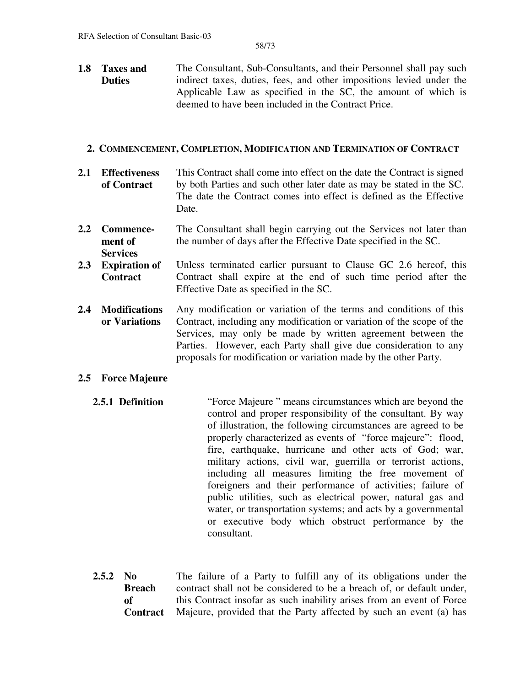**1.8 Taxes and Duties**  The Consultant, Sub-Consultants, and their Personnel shall pay such indirect taxes, duties, fees, and other impositions levied under the Applicable Law as specified in the SC, the amount of which is deemed to have been included in the Contract Price.

#### **2. COMMENCEMENT, COMPLETION, MODIFICATION AND TERMINATION OF CONTRACT**

- **2.1 Effectiveness of Contract**  This Contract shall come into effect on the date the Contract is signed by both Parties and such other later date as may be stated in the SC. The date the Contract comes into effect is defined as the Effective Date.
- **2.2 Commencement of Services**  The Consultant shall begin carrying out the Services not later than the number of days after the Effective Date specified in the SC.
- **2.3 Expiration of Contract**  Unless terminated earlier pursuant to Clause GC 2.6 hereof, this Contract shall expire at the end of such time period after the Effective Date as specified in the SC.
- **2.4 Modifications or Variations**  Any modification or variation of the terms and conditions of this Contract, including any modification or variation of the scope of the Services, may only be made by written agreement between the Parties. However, each Party shall give due consideration to any proposals for modification or variation made by the other Party.

### **2.5 Force Majeure**

- **2.5.1 Definition** "Force Majeure" means circumstances which are beyond the control and proper responsibility of the consultant. By way of illustration, the following circumstances are agreed to be properly characterized as events of "force majeure": flood, fire, earthquake, hurricane and other acts of God; war, military actions, civil war, guerrilla or terrorist actions, including all measures limiting the free movement of foreigners and their performance of activities; failure of public utilities, such as electrical power, natural gas and water, or transportation systems; and acts by a governmental or executive body which obstruct performance by the consultant.
- **2.5.2 No Breach of Contract**  The failure of a Party to fulfill any of its obligations under the contract shall not be considered to be a breach of, or default under, this Contract insofar as such inability arises from an event of Force Majeure, provided that the Party affected by such an event (a) has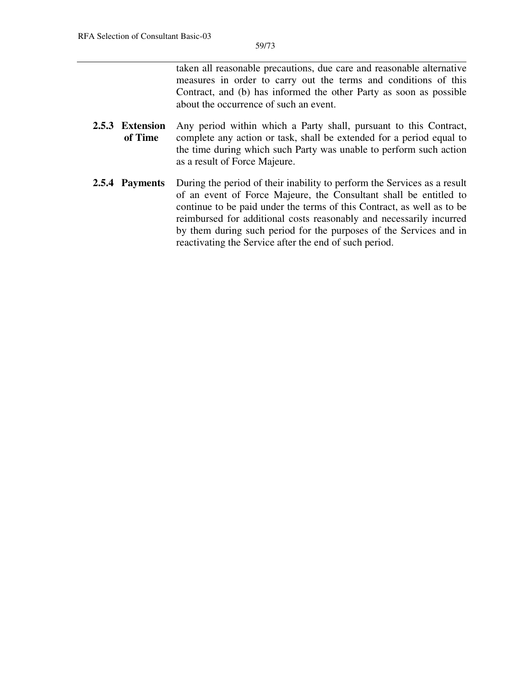taken all reasonable precautions, due care and reasonable alternative measures in order to carry out the terms and conditions of this Contract, and (b) has informed the other Party as soon as possible about the occurrence of such an event.

- **2.5.3 Extension of Time**  Any period within which a Party shall, pursuant to this Contract, complete any action or task, shall be extended for a period equal to the time during which such Party was unable to perform such action as a result of Force Majeure.
- **2.5.4 Payments** During the period of their inability to perform the Services as a result of an event of Force Majeure, the Consultant shall be entitled to continue to be paid under the terms of this Contract, as well as to be reimbursed for additional costs reasonably and necessarily incurred by them during such period for the purposes of the Services and in reactivating the Service after the end of such period.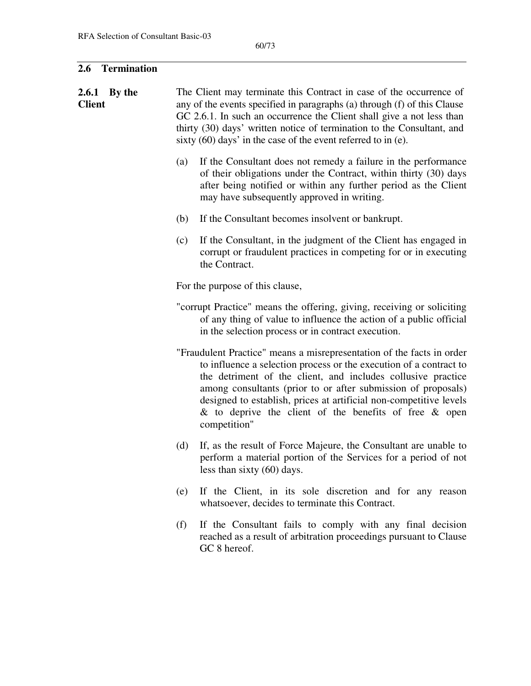## **2.6 Termination**

| <b>Client</b> | $2.6.1$ By the |     | The Client may terminate this Contract in case of the occurrence of<br>any of the events specified in paragraphs (a) through (f) of this Clause<br>GC 2.6.1. In such an occurrence the Client shall give a not less than<br>thirty (30) days' written notice of termination to the Consultant, and<br>sixty $(60)$ days' in the case of the event referred to in (e).                                                              |
|---------------|----------------|-----|------------------------------------------------------------------------------------------------------------------------------------------------------------------------------------------------------------------------------------------------------------------------------------------------------------------------------------------------------------------------------------------------------------------------------------|
|               |                | (a) | If the Consultant does not remedy a failure in the performance<br>of their obligations under the Contract, within thirty (30) days<br>after being notified or within any further period as the Client<br>may have subsequently approved in writing.                                                                                                                                                                                |
|               |                | (b) | If the Consultant becomes insolvent or bankrupt.                                                                                                                                                                                                                                                                                                                                                                                   |
|               |                | (c) | If the Consultant, in the judgment of the Client has engaged in<br>corrupt or fraudulent practices in competing for or in executing<br>the Contract.                                                                                                                                                                                                                                                                               |
|               |                |     | For the purpose of this clause,                                                                                                                                                                                                                                                                                                                                                                                                    |
|               |                |     | "corrupt Practice" means the offering, giving, receiving or soliciting<br>of any thing of value to influence the action of a public official<br>in the selection process or in contract execution.                                                                                                                                                                                                                                 |
|               |                |     | "Fraudulent Practice" means a misrepresentation of the facts in order<br>to influence a selection process or the execution of a contract to<br>the detriment of the client, and includes collusive practice<br>among consultants (prior to or after submission of proposals)<br>designed to establish, prices at artificial non-competitive levels<br>$\&$ to deprive the client of the benefits of free $\&$ open<br>competition" |
|               |                | (d) | If, as the result of Force Majeure, the Consultant are unable to<br>perform a material portion of the Services for a period of not<br>less than sixty $(60)$ days.                                                                                                                                                                                                                                                                 |
|               |                | (e) | If the Client, in its sole discretion and for any reason<br>whatsoever, decides to terminate this Contract.                                                                                                                                                                                                                                                                                                                        |
|               |                | (f) | If the Consultant fails to comply with any final decision<br>reached as a result of arbitration proceedings pursuant to Clause<br>GC 8 hereof.                                                                                                                                                                                                                                                                                     |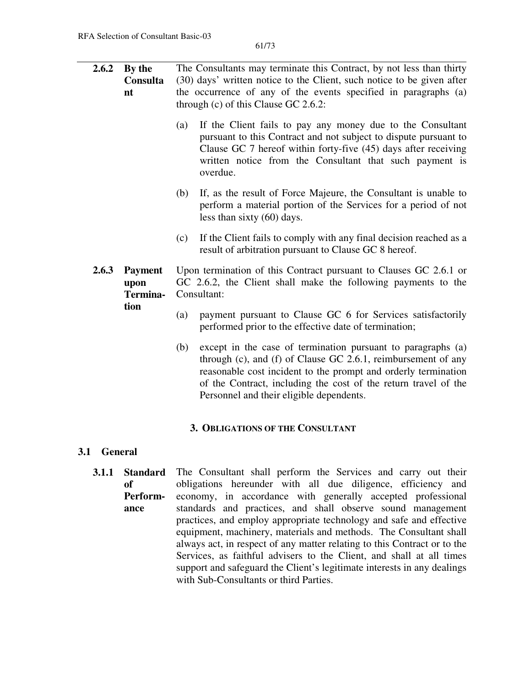| 2.6.2<br>By the<br>Consulta<br>nt                   |                                           |     | The Consultants may terminate this Contract, by not less than thirty<br>(30) days' written notice to the Client, such notice to be given after<br>the occurrence of any of the events specified in paragraphs (a)<br>through (c) of this Clause GC 2.6.2:                                                                                                                                               |
|-----------------------------------------------------|-------------------------------------------|-----|---------------------------------------------------------------------------------------------------------------------------------------------------------------------------------------------------------------------------------------------------------------------------------------------------------------------------------------------------------------------------------------------------------|
|                                                     |                                           | (a) | If the Client fails to pay any money due to the Consultant<br>pursuant to this Contract and not subject to dispute pursuant to<br>Clause GC 7 hereof within forty-five (45) days after receiving<br>written notice from the Consultant that such payment is<br>overdue.                                                                                                                                 |
|                                                     |                                           | (b) | If, as the result of Force Majeure, the Consultant is unable to<br>perform a material portion of the Services for a period of not<br>less than sixty $(60)$ days.                                                                                                                                                                                                                                       |
|                                                     |                                           | (c) | If the Client fails to comply with any final decision reached as a<br>result of arbitration pursuant to Clause GC 8 hereof.                                                                                                                                                                                                                                                                             |
| 2.6.3<br><b>Payment</b><br>upon<br>Termina-<br>tion |                                           |     | Upon termination of this Contract pursuant to Clauses GC 2.6.1 or<br>GC 2.6.2, the Client shall make the following payments to the<br>Consultant:                                                                                                                                                                                                                                                       |
|                                                     |                                           | (a) | payment pursuant to Clause GC 6 for Services satisfactorily<br>performed prior to the effective date of termination;                                                                                                                                                                                                                                                                                    |
|                                                     |                                           | (b) | except in the case of termination pursuant to paragraphs (a)<br>through (c), and (f) of Clause GC 2.6.1, reimbursement of any<br>reasonable cost incident to the prompt and orderly termination<br>of the Contract, including the cost of the return travel of the<br>Personnel and their eligible dependents.                                                                                          |
|                                                     |                                           |     | 3. OBLIGATIONS OF THE CONSULTANT                                                                                                                                                                                                                                                                                                                                                                        |
| <b>General</b><br>3.1                               |                                           |     |                                                                                                                                                                                                                                                                                                                                                                                                         |
| 3.1.1                                               | <b>Standard</b><br>of<br>Perform-<br>ance |     | The Consultant shall perform the Services and carry out their<br>obligations hereunder with all due diligence, efficiency and<br>economy, in accordance with generally accepted professional<br>standards and practices, and shall observe sound management<br>practices, and employ appropriate technology and safe and effective<br>equipment, machinery, materials and methods. The Consultant shall |

equipment, machinery, materials and methods. The Consultant shall always act, in respect of any matter relating to this Contract or to the Services, as faithful advisers to the Client, and shall at all times support and safeguard the Client's legitimate interests in any dealings with Sub-Consultants or third Parties.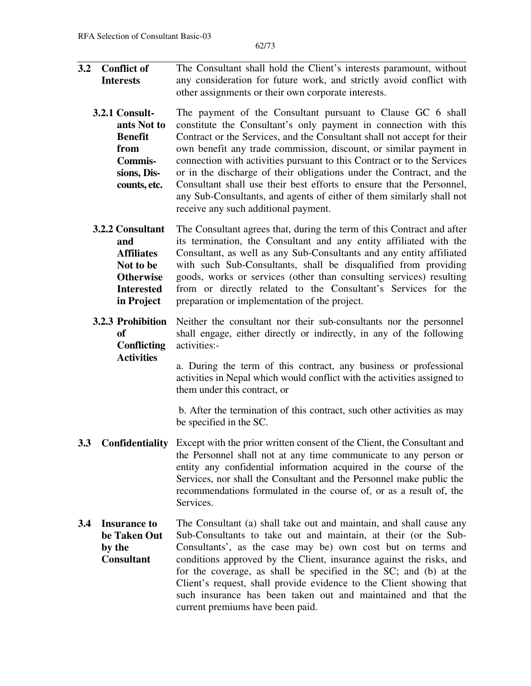- **3.2 Conflict of Interests**  The Consultant shall hold the Client's interests paramount, without any consideration for future work, and strictly avoid conflict with other assignments or their own corporate interests.
	- **3.2.1 Consultants Not to Benefit from Commissions, Discounts, etc.**  The payment of the Consultant pursuant to Clause GC 6 shall constitute the Consultant's only payment in connection with this Contract or the Services, and the Consultant shall not accept for their own benefit any trade commission, discount, or similar payment in connection with activities pursuant to this Contract or to the Services or in the discharge of their obligations under the Contract, and the Consultant shall use their best efforts to ensure that the Personnel, any Sub-Consultants, and agents of either of them similarly shall not receive any such additional payment.
	- **3.2.2 Consultant and Affiliates Not to be Otherwise Interested in Project**  The Consultant agrees that, during the term of this Contract and after its termination, the Consultant and any entity affiliated with the Consultant, as well as any Sub-Consultants and any entity affiliated with such Sub-Consultants, shall be disqualified from providing goods, works or services (other than consulting services) resulting from or directly related to the Consultant's Services for the preparation or implementation of the project.
	- **3.2.3 Prohibition of Conflicting Activities**  Neither the consultant nor their sub-consultants nor the personnel shall engage, either directly or indirectly, in any of the following activities:-

a. During the term of this contract, any business or professional activities in Nepal which would conflict with the activities assigned to them under this contract, or

 b. After the termination of this contract, such other activities as may be specified in the SC.

- **3.3 Confidentiality** Except with the prior written consent of the Client, the Consultant and the Personnel shall not at any time communicate to any person or entity any confidential information acquired in the course of the Services, nor shall the Consultant and the Personnel make public the recommendations formulated in the course of, or as a result of, the Services.
- **3.4 Insurance to be Taken Out by the Consultant**  The Consultant (a) shall take out and maintain, and shall cause any Sub-Consultants to take out and maintain, at their (or the Sub-Consultants', as the case may be) own cost but on terms and conditions approved by the Client, insurance against the risks, and for the coverage, as shall be specified in the SC; and (b) at the Client's request, shall provide evidence to the Client showing that such insurance has been taken out and maintained and that the current premiums have been paid.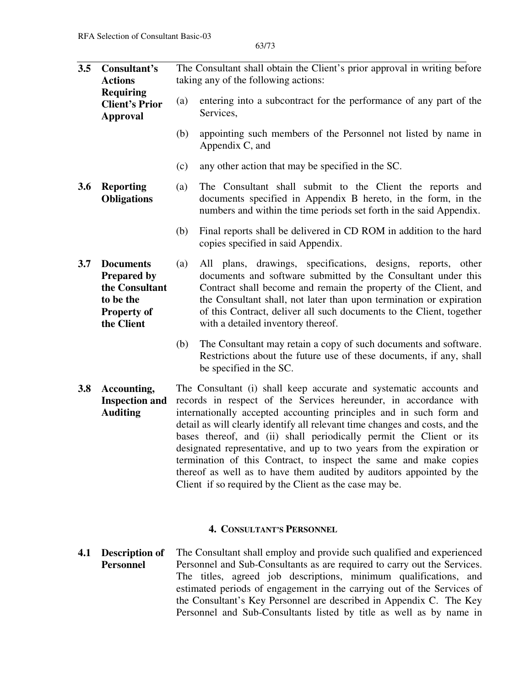| 3.5 | Consultant's<br><b>Actions</b><br><b>Requiring</b><br><b>Client's Prior</b><br><b>Approval</b>            | The Consultant shall obtain the Client's prior approval in writing before<br>taking any of the following actions:                                                                                                                                                                                                                                                                                                                                                                                                                                                                                                                                     |                                                                                                                                                                                                                                                                                                                                                                                        |
|-----|-----------------------------------------------------------------------------------------------------------|-------------------------------------------------------------------------------------------------------------------------------------------------------------------------------------------------------------------------------------------------------------------------------------------------------------------------------------------------------------------------------------------------------------------------------------------------------------------------------------------------------------------------------------------------------------------------------------------------------------------------------------------------------|----------------------------------------------------------------------------------------------------------------------------------------------------------------------------------------------------------------------------------------------------------------------------------------------------------------------------------------------------------------------------------------|
|     |                                                                                                           | (a)                                                                                                                                                                                                                                                                                                                                                                                                                                                                                                                                                                                                                                                   | entering into a subcontract for the performance of any part of the<br>Services,                                                                                                                                                                                                                                                                                                        |
|     |                                                                                                           | (b)                                                                                                                                                                                                                                                                                                                                                                                                                                                                                                                                                                                                                                                   | appointing such members of the Personnel not listed by name in<br>Appendix C, and                                                                                                                                                                                                                                                                                                      |
|     |                                                                                                           | (c)                                                                                                                                                                                                                                                                                                                                                                                                                                                                                                                                                                                                                                                   | any other action that may be specified in the SC.                                                                                                                                                                                                                                                                                                                                      |
| 3.6 | <b>Reporting</b><br><b>Obligations</b>                                                                    | (a)                                                                                                                                                                                                                                                                                                                                                                                                                                                                                                                                                                                                                                                   | The Consultant shall submit to the Client the reports and<br>documents specified in Appendix B hereto, in the form, in the<br>numbers and within the time periods set forth in the said Appendix.                                                                                                                                                                                      |
|     |                                                                                                           | (b)                                                                                                                                                                                                                                                                                                                                                                                                                                                                                                                                                                                                                                                   | Final reports shall be delivered in CD ROM in addition to the hard<br>copies specified in said Appendix.                                                                                                                                                                                                                                                                               |
| 3.7 | <b>Documents</b><br><b>Prepared by</b><br>the Consultant<br>to be the<br><b>Property of</b><br>the Client | (a)                                                                                                                                                                                                                                                                                                                                                                                                                                                                                                                                                                                                                                                   | All plans, drawings, specifications, designs, reports, other<br>documents and software submitted by the Consultant under this<br>Contract shall become and remain the property of the Client, and<br>the Consultant shall, not later than upon termination or expiration<br>of this Contract, deliver all such documents to the Client, together<br>with a detailed inventory thereof. |
|     |                                                                                                           | (b)                                                                                                                                                                                                                                                                                                                                                                                                                                                                                                                                                                                                                                                   | The Consultant may retain a copy of such documents and software.<br>Restrictions about the future use of these documents, if any, shall<br>be specified in the SC.                                                                                                                                                                                                                     |
| 3.8 | Accounting,<br><b>Inspection and</b><br><b>Auditing</b>                                                   | The Consultant (i) shall keep accurate and systematic accounts and<br>records in respect of the Services hereunder, in accordance with<br>internationally accepted accounting principles and in such form and<br>detail as will clearly identify all relevant time changes and costs, and the<br>bases thereof, and (ii) shall periodically permit the Client or its<br>designated representative, and up to two years from the expiration or<br>termination of this Contract, to inspect the same and make copies<br>thereof as well as to have them audited by auditors appointed by the<br>Client if so required by the Client as the case may be. |                                                                                                                                                                                                                                                                                                                                                                                        |

### **4. CONSULTANT'S PERSONNEL**

**4.1 Description of Personnel**  The Consultant shall employ and provide such qualified and experienced Personnel and Sub-Consultants as are required to carry out the Services. The titles, agreed job descriptions, minimum qualifications, and estimated periods of engagement in the carrying out of the Services of the Consultant's Key Personnel are described in Appendix C. The Key Personnel and Sub-Consultants listed by title as well as by name in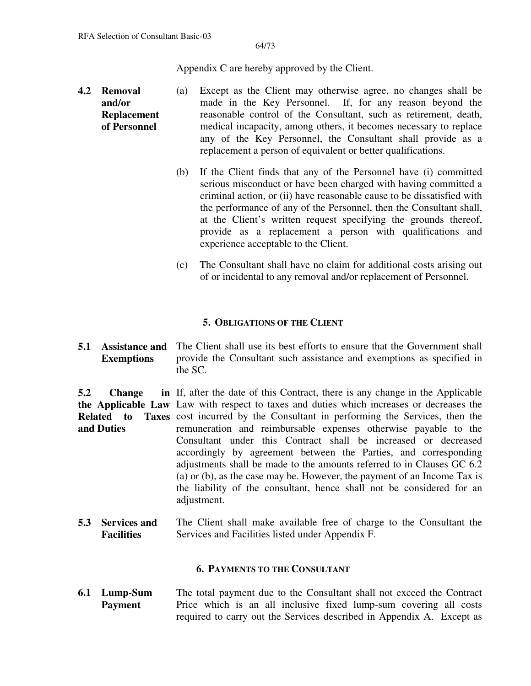## Appendix C are hereby approved by the Client.

- **4.2 Removal and/or Replacement of Personnel**  (a) Except as the Client may otherwise agree, no changes shall be made in the Key Personnel. If, for any reason beyond the reasonable control of the Consultant, such as retirement, death, medical incapacity, among others, it becomes necessary to replace any of the Key Personnel, the Consultant shall provide as a replacement a person of equivalent or better qualifications.
	- (b) If the Client finds that any of the Personnel have (i) committed serious misconduct or have been charged with having committed a criminal action, or (ii) have reasonable cause to be dissatisfied with the performance of any of the Personnel, then the Consultant shall, at the Client's written request specifying the grounds thereof, provide as a replacement a person with qualifications and experience acceptable to the Client.
	- (c) The Consultant shall have no claim for additional costs arising out of or incidental to any removal and/or replacement of Personnel.

## **5. OBLIGATIONS OF THE CLIENT**

**5.1 Assistance and Exemptions**  The Client shall use its best efforts to ensure that the Government shall provide the Consultant such assistance and exemptions as specified in the SC.

**5.2** Change **the Applicable Law**  Law with respect to taxes and duties which increases or decreases the **Related to Taxes**  cost incurred by the Consultant in performing the Services, then the **and Duties**  in If, after the date of this Contract, there is any change in the Applicable remuneration and reimbursable expenses otherwise payable to the Consultant under this Contract shall be increased or decreased accordingly by agreement between the Parties, and corresponding adjustments shall be made to the amounts referred to in Clauses GC 6.2 (a) or (b), as the case may be. However, the payment of an Income Tax is the liability of the consultant, hence shall not be considered for an adjustment.

**5.3 Services and Facilities**  The Client shall make available free of charge to the Consultant the Services and Facilities listed under Appendix F.

### **6. PAYMENTS TO THE CONSULTANT**

**6.1 Lump-Sum Payment**  The total payment due to the Consultant shall not exceed the Contract Price which is an all inclusive fixed lump-sum covering all costs required to carry out the Services described in Appendix A. Except as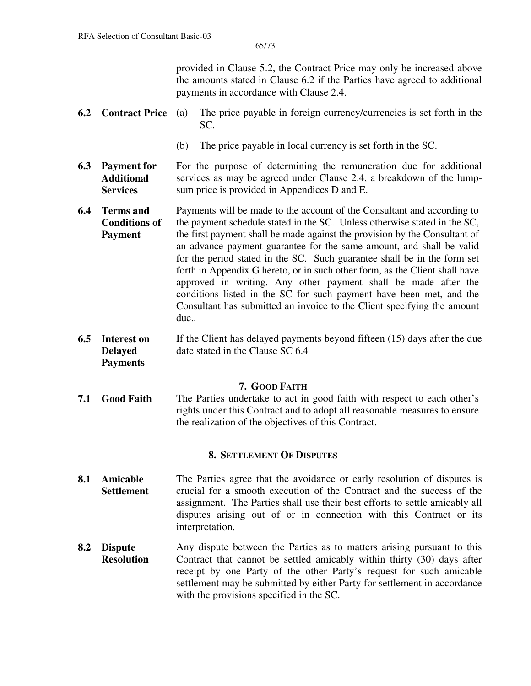provided in Clause 5.2, the Contract Price may only be increased above the amounts stated in Clause 6.2 if the Parties have agreed to additional payments in accordance with Clause 2.4.

- **6.2 Contract Price** (a) The price payable in foreign currency/currencies is set forth in the SC.
	- (b) The price payable in local currency is set forth in the SC.
- **6.3 Payment for Additional Services**  For the purpose of determining the remuneration due for additional services as may be agreed under Clause 2.4, a breakdown of the lumpsum price is provided in Appendices D and E.
- **6.4 Terms and Conditions of Payment**  Payments will be made to the account of the Consultant and according to the payment schedule stated in the SC. Unless otherwise stated in the SC, the first payment shall be made against the provision by the Consultant of an advance payment guarantee for the same amount, and shall be valid for the period stated in the SC. Such guarantee shall be in the form set forth in Appendix G hereto, or in such other form, as the Client shall have approved in writing. Any other payment shall be made after the conditions listed in the SC for such payment have been met, and the Consultant has submitted an invoice to the Client specifying the amount due..
- **6.5 Interest on Delayed Payments** If the Client has delayed payments beyond fifteen (15) days after the due date stated in the Clause SC 6.4

### **7. GOOD FAITH**

**7.1 Good Faith** The Parties undertake to act in good faith with respect to each other's rights under this Contract and to adopt all reasonable measures to ensure the realization of the objectives of this Contract.

### **8. SETTLEMENT OF DISPUTES**

- **8.1 Amicable Settlement**  The Parties agree that the avoidance or early resolution of disputes is crucial for a smooth execution of the Contract and the success of the assignment. The Parties shall use their best efforts to settle amicably all disputes arising out of or in connection with this Contract or its interpretation.
- **8.2 Dispute Resolution**  Any dispute between the Parties as to matters arising pursuant to this Contract that cannot be settled amicably within thirty (30) days after receipt by one Party of the other Party's request for such amicable settlement may be submitted by either Party for settlement in accordance with the provisions specified in the SC.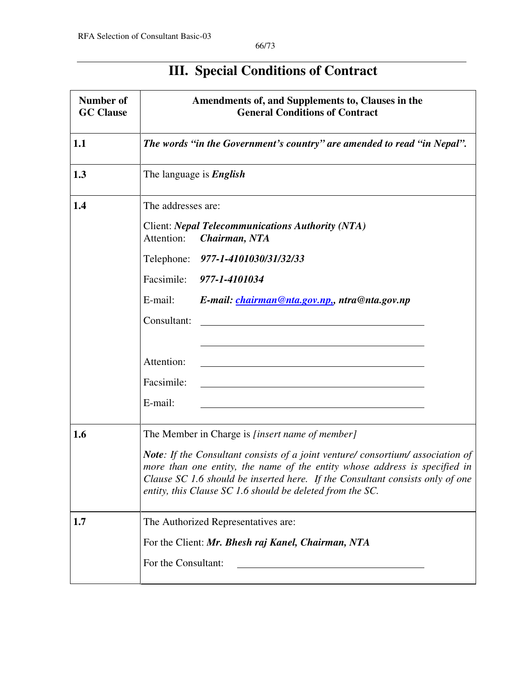# **Number of GC Clause Amendments of, and Supplements to, Clauses in the General Conditions of Contract 1.1** *The words "in the Government's country" are amended to read "in Nepal".*  **1.3** The language is *English* 1.4 **The addresses are:** Client: *Nepal Telecommunications Authority (NTA)* Attention: *Chairman, NTA* Telephone: *977-1-4101030/31/32/33* Facsimile: *977-1-4101034* E-mail: *E-mail: chairman@nta.gov.np,, ntra@nta.gov.np* Consultant: Attention: Facsimile: E-mail: **1.6** The Member in Charge is *[insert name of member] Note: If the Consultant consists of a joint venture/ consortium/ association of more than one entity, the name of the entity whose address is specified in Clause SC 1.6 should be inserted here. If the Consultant consists only of one entity, this Clause SC 1.6 should be deleted from the SC.* **1.7 The Authorized Representatives are:** For the Client: *Mr. Bhesh raj Kanel, Chairman, NTA* For the Consultant:

## **III. Special Conditions of Contract**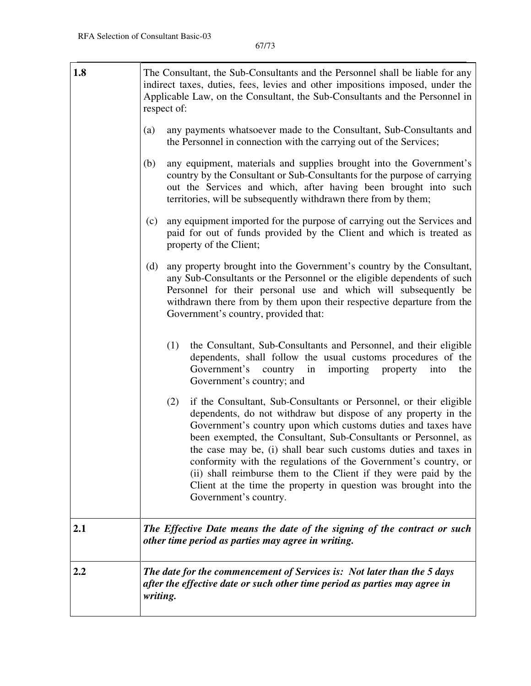| 1.8 | The Consultant, the Sub-Consultants and the Personnel shall be liable for any<br>indirect taxes, duties, fees, levies and other impositions imposed, under the<br>Applicable Law, on the Consultant, the Sub-Consultants and the Personnel in<br>respect of:                                                                                                                                                                                                                                                                                                                            |  |
|-----|-----------------------------------------------------------------------------------------------------------------------------------------------------------------------------------------------------------------------------------------------------------------------------------------------------------------------------------------------------------------------------------------------------------------------------------------------------------------------------------------------------------------------------------------------------------------------------------------|--|
|     | any payments whatsoever made to the Consultant, Sub-Consultants and<br>(a)<br>the Personnel in connection with the carrying out of the Services;                                                                                                                                                                                                                                                                                                                                                                                                                                        |  |
|     | any equipment, materials and supplies brought into the Government's<br>(b)<br>country by the Consultant or Sub-Consultants for the purpose of carrying<br>out the Services and which, after having been brought into such<br>territories, will be subsequently withdrawn there from by them;                                                                                                                                                                                                                                                                                            |  |
|     | any equipment imported for the purpose of carrying out the Services and<br>(c)<br>paid for out of funds provided by the Client and which is treated as<br>property of the Client;                                                                                                                                                                                                                                                                                                                                                                                                       |  |
|     | any property brought into the Government's country by the Consultant,<br>(d)<br>any Sub-Consultants or the Personnel or the eligible dependents of such<br>Personnel for their personal use and which will subsequently be<br>withdrawn there from by them upon their respective departure from the<br>Government's country, provided that:                                                                                                                                                                                                                                             |  |
|     | (1)<br>the Consultant, Sub-Consultants and Personnel, and their eligible<br>dependents, shall follow the usual customs procedures of the<br>Government's country in<br>importing property<br>into<br>the<br>Government's country; and                                                                                                                                                                                                                                                                                                                                                   |  |
|     | if the Consultant, Sub-Consultants or Personnel, or their eligible<br>(2)<br>dependents, do not withdraw but dispose of any property in the<br>Government's country upon which customs duties and taxes have<br>been exempted, the Consultant, Sub-Consultants or Personnel, as<br>the case may be, (i) shall bear such customs duties and taxes in<br>conformity with the regulations of the Government's country, or<br>(ii) shall reimburse them to the Client if they were paid by the<br>Client at the time the property in question was brought into the<br>Government's country. |  |
| 2.1 | The Effective Date means the date of the signing of the contract or such<br>other time period as parties may agree in writing.                                                                                                                                                                                                                                                                                                                                                                                                                                                          |  |
| 2.2 | The date for the commencement of Services is: Not later than the 5 days<br>after the effective date or such other time period as parties may agree in<br>writing.                                                                                                                                                                                                                                                                                                                                                                                                                       |  |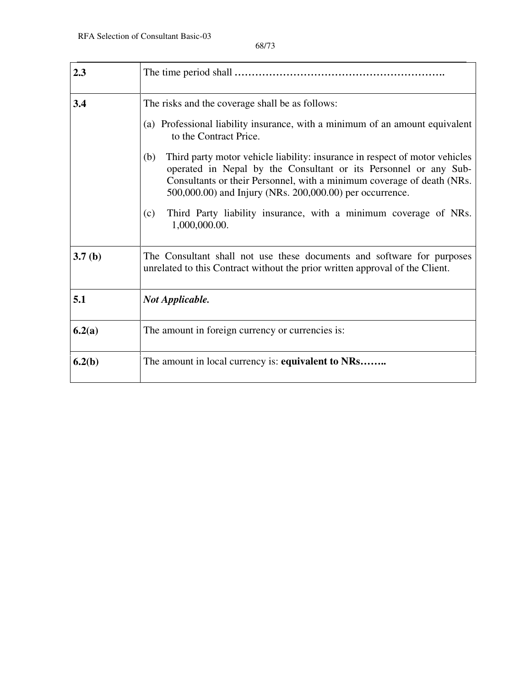| 2.3    |                                                                                                                                                                                                                                                                                              |
|--------|----------------------------------------------------------------------------------------------------------------------------------------------------------------------------------------------------------------------------------------------------------------------------------------------|
| 3.4    | The risks and the coverage shall be as follows:                                                                                                                                                                                                                                              |
|        | (a) Professional liability insurance, with a minimum of an amount equivalent<br>to the Contract Price.                                                                                                                                                                                       |
|        | Third party motor vehicle liability: insurance in respect of motor vehicles<br>(b)<br>operated in Nepal by the Consultant or its Personnel or any Sub-<br>Consultants or their Personnel, with a minimum coverage of death (NRs.<br>500,000.00) and Injury (NRs. 200,000.00) per occurrence. |
|        | Third Party liability insurance, with a minimum coverage of NRs.<br>(c)<br>1,000,000.00.                                                                                                                                                                                                     |
| 3.7(b) | The Consultant shall not use these documents and software for purposes<br>unrelated to this Contract without the prior written approval of the Client.                                                                                                                                       |
| 5.1    | <b>Not Applicable.</b>                                                                                                                                                                                                                                                                       |
| 6.2(a) | The amount in foreign currency or currencies is:                                                                                                                                                                                                                                             |
| 6.2(b) | The amount in local currency is: equivalent to NRs                                                                                                                                                                                                                                           |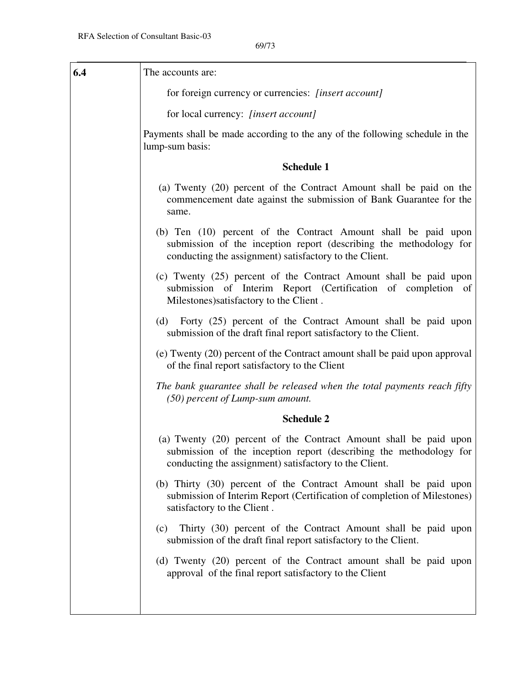| 6.4 | The accounts are:                                                                                                                                                                                 |  |  |  |  |  |
|-----|---------------------------------------------------------------------------------------------------------------------------------------------------------------------------------------------------|--|--|--|--|--|
|     | for foreign currency or currencies: [insert account]                                                                                                                                              |  |  |  |  |  |
|     | for local currency: [insert account]                                                                                                                                                              |  |  |  |  |  |
|     | Payments shall be made according to the any of the following schedule in the<br>lump-sum basis:                                                                                                   |  |  |  |  |  |
|     | <b>Schedule 1</b>                                                                                                                                                                                 |  |  |  |  |  |
|     | (a) Twenty (20) percent of the Contract Amount shall be paid on the<br>commencement date against the submission of Bank Guarantee for the<br>same.                                                |  |  |  |  |  |
|     | (b) Ten (10) percent of the Contract Amount shall be paid upon<br>submission of the inception report (describing the methodology for<br>conducting the assignment) satisfactory to the Client.    |  |  |  |  |  |
|     | (c) Twenty (25) percent of the Contract Amount shall be paid upon<br>submission of Interim Report (Certification of completion of<br>Milestones) satisfactory to the Client.                      |  |  |  |  |  |
|     | (d) Forty (25) percent of the Contract Amount shall be paid upon<br>submission of the draft final report satisfactory to the Client.                                                              |  |  |  |  |  |
|     | (e) Twenty (20) percent of the Contract amount shall be paid upon approval<br>of the final report satisfactory to the Client                                                                      |  |  |  |  |  |
|     | The bank guarantee shall be released when the total payments reach fifty<br>$(50)$ percent of Lump-sum amount.                                                                                    |  |  |  |  |  |
|     | <b>Schedule 2</b>                                                                                                                                                                                 |  |  |  |  |  |
|     | (a) Twenty (20) percent of the Contract Amount shall be paid upon<br>submission of the inception report (describing the methodology for<br>conducting the assignment) satisfactory to the Client. |  |  |  |  |  |
|     | (b) Thirty (30) percent of the Contract Amount shall be paid upon<br>submission of Interim Report (Certification of completion of Milestones)<br>satisfactory to the Client.                      |  |  |  |  |  |
|     | Thirty (30) percent of the Contract Amount shall be paid upon<br>(c)<br>submission of the draft final report satisfactory to the Client.                                                          |  |  |  |  |  |
|     | (d) Twenty (20) percent of the Contract amount shall be paid upon<br>approval of the final report satisfactory to the Client                                                                      |  |  |  |  |  |
|     |                                                                                                                                                                                                   |  |  |  |  |  |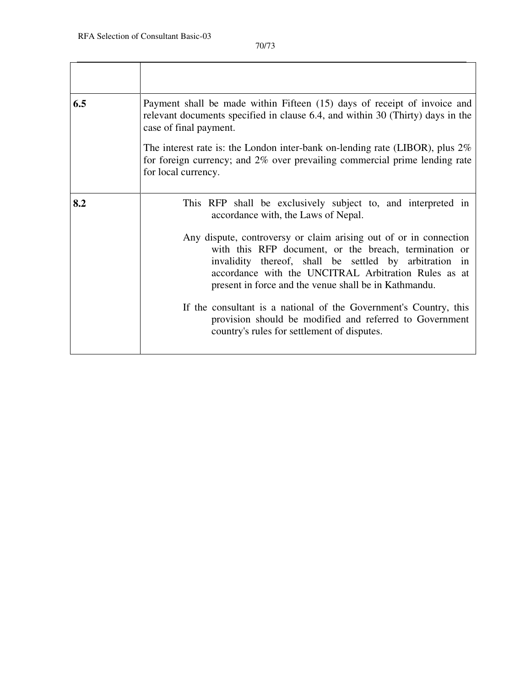| 6.5 | Payment shall be made within Fifteen (15) days of receipt of invoice and<br>relevant documents specified in clause 6.4, and within 30 (Thirty) days in the<br>case of final payment.                                                                                                                  |
|-----|-------------------------------------------------------------------------------------------------------------------------------------------------------------------------------------------------------------------------------------------------------------------------------------------------------|
|     | The interest rate is: the London inter-bank on-lending rate (LIBOR), plus $2\%$<br>for foreign currency; and 2% over prevailing commercial prime lending rate<br>for local currency.                                                                                                                  |
| 8.2 | This RFP shall be exclusively subject to, and interpreted in<br>accordance with, the Laws of Nepal.                                                                                                                                                                                                   |
|     | Any dispute, controversy or claim arising out of or in connection<br>with this RFP document, or the breach, termination or<br>invalidity thereof, shall be settled by arbitration in<br>accordance with the UNCITRAL Arbitration Rules as at<br>present in force and the venue shall be in Kathmandu. |
|     | If the consultant is a national of the Government's Country, this<br>provision should be modified and referred to Government<br>country's rules for settlement of disputes.                                                                                                                           |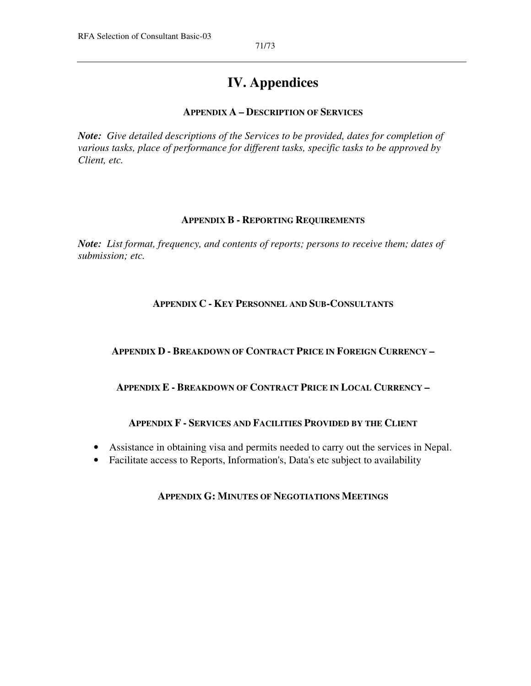## **IV. Appendices**

## **APPENDIX A – DESCRIPTION OF SERVICES**

*Note: Give detailed descriptions of the Services to be provided, dates for completion of various tasks, place of performance for different tasks, specific tasks to be approved by Client, etc.*

### **APPENDIX B - REPORTING REQUIREMENTS**

*Note: List format, frequency, and contents of reports; persons to receive them; dates of submission; etc.* 

## **APPENDIX C - KEY PERSONNEL AND SUB-CONSULTANTS**

## **APPENDIX D - BREAKDOWN OF CONTRACT PRICE IN FOREIGN CURRENCY –**

## **APPENDIX E - BREAKDOWN OF CONTRACT PRICE IN LOCAL CURRENCY –**

### **APPENDIX F - SERVICES AND FACILITIES PROVIDED BY THE CLIENT**

- Assistance in obtaining visa and permits needed to carry out the services in Nepal.
- Facilitate access to Reports, Information's, Data's etc subject to availability

### **APPENDIX G: MINUTES OF NEGOTIATIONS MEETINGS**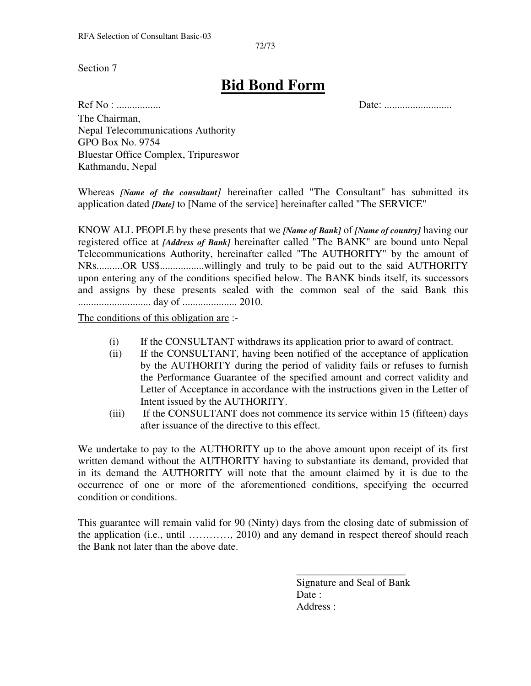72/73

Section 7

## **Bid Bond Form**

Ref No : ................. Date: ..........................

The Chairman, Nepal Telecommunications Authority GPO Box No. 9754 Bluestar Office Complex, Tripureswor Kathmandu, Nepal

Whereas *[Name of the consultant]* hereinafter called "The Consultant" has submitted its application dated *[Date]* to [Name of the service] hereinafter called "The SERVICE"

KNOW ALL PEOPLE by these presents that we *[Name of Bank]* of *[Name of country]* having our registered office at *[Address of Bank]* hereinafter called "The BANK" are bound unto Nepal Telecommunications Authority, hereinafter called "The AUTHORITY" by the amount of NRs..........OR US\$.................willingly and truly to be paid out to the said AUTHORITY upon entering any of the conditions specified below. The BANK binds itself, its successors and assigns by these presents sealed with the common seal of the said Bank this ............................ day of ..................... 2010.

The conditions of this obligation are :-

- (i) If the CONSULTANT withdraws its application prior to award of contract.
- (ii) If the CONSULTANT, having been notified of the acceptance of application by the AUTHORITY during the period of validity fails or refuses to furnish the Performance Guarantee of the specified amount and correct validity and Letter of Acceptance in accordance with the instructions given in the Letter of Intent issued by the AUTHORITY.
- (iii) If the CONSULTANT does not commence its service within 15 (fifteen) days after issuance of the directive to this effect.

We undertake to pay to the AUTHORITY up to the above amount upon receipt of its first written demand without the AUTHORITY having to substantiate its demand, provided that in its demand the AUTHORITY will note that the amount claimed by it is due to the occurrence of one or more of the aforementioned conditions, specifying the occurred condition or conditions.

This guarantee will remain valid for 90 (Ninty) days from the closing date of submission of the application (i.e., until …………, 2010) and any demand in respect thereof should reach the Bank not later than the above date.

> \_\_\_\_\_\_\_\_\_\_\_\_\_\_\_\_\_\_\_\_\_ Signature and Seal of Bank Date : Address :